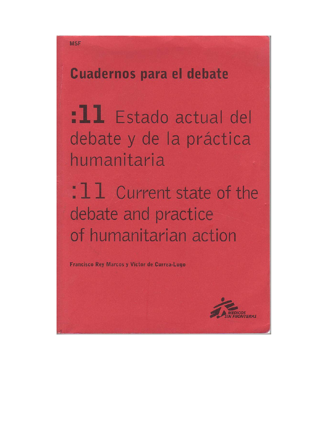# **Cuadernos para el debate**

:11 Estado actual del debate y de la práctica humanitaria

: 1 1 Current state of the debate and practice of humanitarian action

Francisco Rey Marcos y Víctor de Currea-Lugo

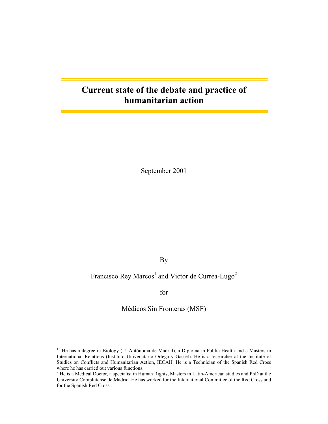## **Current state of the debate and practice of humanitarian action**

September 2001

By

## Francisco Rey Marcos<sup>1</sup> and Víctor de Currea-Lugo<sup>2</sup>

for

Médicos Sin Fronteras (MSF)

 $\frac{1}{1}$  He has a degree in Biology (U. Autónoma de Madrid), a Diploma in Public Health and a Masters in International Relations (Instituto Universitario Ortega y Gasset). He is a researcher at the Institute of Studies on Conflicts and Humanitarian Action, IECAH. He is a Technician of the Spanish Red Cross where he has carried out various functions.

 $2$  He is a Medical Doctor, a specialist in Human Rights, Masters in Latin-American studies and PhD at the University Complutense de Madrid. He has worked for the International Committee of the Red Cross and for the Spanish Red Cross.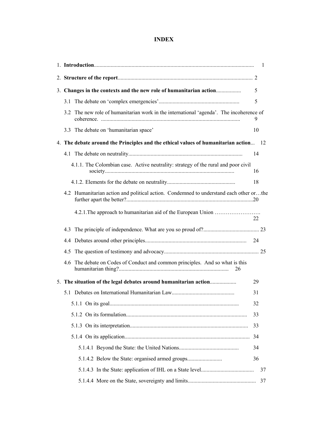## **INDEX**

|                                                                                           | 1  |
|-------------------------------------------------------------------------------------------|----|
|                                                                                           |    |
| 3. Changes in the contexts and the new role of humanitarian action                        | 5  |
| 3.1                                                                                       | 5  |
| The new role of humanitarian work in the international 'agenda'. The incoherence of<br>32 | 9  |
| 3.3 The debate on 'humanitarian space'                                                    | 10 |
| 4. The debate around the Principles and the ethical values of humanitarian action 12      |    |
|                                                                                           | 14 |
| 4.1.1. The Colombian case. Active neutrality: strategy of the rural and poor civil        | 16 |
|                                                                                           | 18 |
| 4.2 Humanitarian action and political action. Condemned to understand each other orthe    |    |
|                                                                                           | 22 |
| 4.3                                                                                       |    |
|                                                                                           |    |
| 4.5                                                                                       |    |
| The debate on Codes of Conduct and common principles. And so what is this<br>4.6<br>26    |    |
| 5. The situation of the legal debates around humanitarian action                          | 29 |
|                                                                                           | 31 |
|                                                                                           | 32 |
|                                                                                           | 33 |
|                                                                                           | 33 |
|                                                                                           | 34 |
|                                                                                           | 34 |
| 5.1.4.2 Below the State: organised armed groups                                           | 36 |
|                                                                                           | 37 |
|                                                                                           | 37 |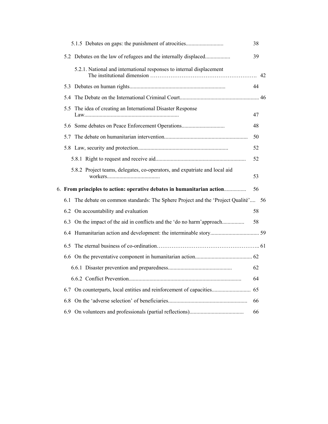|  | 5.1.5 Debates on gaps: the punishment of atrocities                                 | 38 |  |
|--|-------------------------------------------------------------------------------------|----|--|
|  | 5.2 Debates on the law of refugees and the internally displaced                     | 39 |  |
|  | 5.2.1. National and international responses to internal displacement                |    |  |
|  |                                                                                     | 44 |  |
|  |                                                                                     |    |  |
|  | 5.5 The idea of creating an International Disaster Response                         | 47 |  |
|  | 5.6 Some debates on Peace Enforcement Operations                                    | 48 |  |
|  |                                                                                     | 50 |  |
|  |                                                                                     | 52 |  |
|  |                                                                                     | 52 |  |
|  | 5.8.2 Project teams, delegates, co-operators, and expatriate and local aid          | 53 |  |
|  | 6. From principles to action: operative debates in humanitarian action              | 56 |  |
|  | 6.1 The debate on common standards: The Sphere Project and the 'Project Qualité' 56 |    |  |
|  | 6.2 On accountability and evaluation                                                | 58 |  |
|  | 6.3 On the impact of the aid in conflicts and the 'do no harm'approach              | 58 |  |
|  |                                                                                     |    |  |
|  |                                                                                     |    |  |
|  |                                                                                     |    |  |
|  |                                                                                     | 62 |  |
|  |                                                                                     | 64 |  |
|  |                                                                                     |    |  |
|  |                                                                                     | 66 |  |
|  |                                                                                     | 66 |  |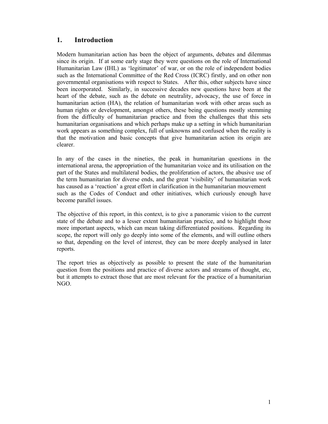## **1. Introduction**

Modern humanitarian action has been the object of arguments, debates and dilemmas since its origin. If at some early stage they were questions on the role of International Humanitarian Law (IHL) as 'legitimator' of war, or on the role of independent bodies such as the International Committee of the Red Cross (ICRC) firstly, and on other non governmental organisations with respect to States. After this, other subjects have since been incorporated. Similarly, in successive decades new questions have been at the heart of the debate, such as the debate on neutrality, advocacy, the use of force in humanitarian action (HA), the relation of humanitarian work with other areas such as human rights or development, amongst others, these being questions mostly stemming from the difficulty of humanitarian practice and from the challenges that this sets humanitarian organisations and which perhaps make up a setting in which humanitarian work appears as something complex, full of unknowns and confused when the reality is that the motivation and basic concepts that give humanitarian action its origin are clearer.

In any of the cases in the nineties, the peak in humanitarian questions in the international arena, the appropriation of the humanitarian voice and its utilisation on the part of the States and multilateral bodies, the proliferation of actors, the abusive use of the term humanitarian for diverse ends, and the great 'visibility' of humanitarian work has caused as a 'reaction' a great effort in clarification in the humanitarian mouvement such as the Codes of Conduct and other initiatives, which curiously enough have become parallel issues.

The objective of this report, in this context, is to give a panoramic vision to the current state of the debate and to a lesser extent humanitarian practice, and to highlight those more important aspects, which can mean taking differentiated positions. Regarding its scope, the report will only go deeply into some of the elements, and will outline others so that, depending on the level of interest, they can be more deeply analysed in later reports.

The report tries as objectively as possible to present the state of the humanitarian question from the positions and practice of diverse actors and streams of thought, etc, but it attempts to extract those that are most relevant for the practice of a humanitarian NGO.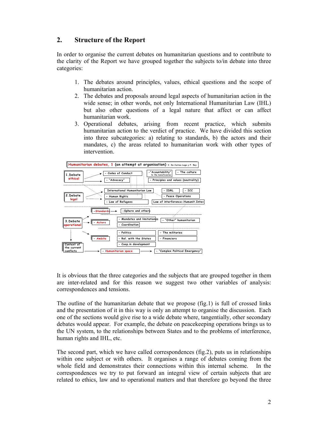## **2. Structure of the Report**

In order to organise the current debates on humanitarian questions and to contribute to the clarity of the Report we have grouped together the subjects to/in debate into three categories:

- 1. The debates around principles, values, ethical questions and the scope of humanitarian action.
- 2. The debates and proposals around legal aspects of humanitarian action in the wide sense; in other words, not only International Humanitarian Law (IHL) but also other questions of a legal nature that affect or can affect humanitarian work.
- 3. Operational debates, arising from recent practice, which submits humanitarian action to the verdict of practice. We have divided this section into three subcategories: a) relating to standards, b) the actors and their mandates, c) the areas related to humanitarian work with other types of intervention.



It is obvious that the three categories and the subjects that are grouped together in them are inter-related and for this reason we suggest two other variables of analysis: correspondences and tensions.

The outline of the humanitarian debate that we propose (fig.1) is full of crossed links and the presentation of it in this way is only an attempt to organise the discussion. Each one of the sections would give rise to a wide debate where, tangentially, other secondary debates would appear. For example, the debate on peacekeeping operations brings us to the UN system, to the relationships between States and to the problems of interference, human rights and IHL, etc.

The second part, which we have called correspondences (fig.2), puts us in relationships within one subject or with others. It organises a range of debates coming from the whole field and demonstrates their connections within this internal scheme. In the correspondences we try to put forward an integral view of certain subjects that are related to ethics, law and to operational matters and that therefore go beyond the three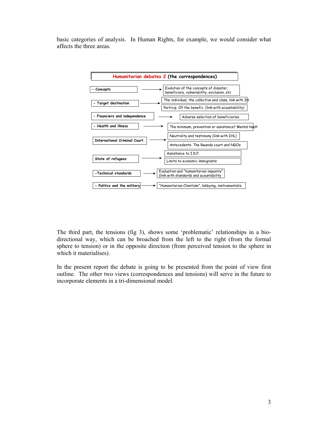basic categories of analysis. In Human Rights, for example, we would consider what affects the three areas.



The third part, the tensions (fig 3), shows some 'problematic' relationships in a biodirectional way, which can be broached from the left to the right (from the formal sphere to tension) or in the opposite direction (from perceived tension to the sphere in which it materialises).

In the present report the debate is going to be presented from the point of view first outline. The other two views (correspondences and tensions) will serve in the future to incorporate elements in a tri-dimensional model.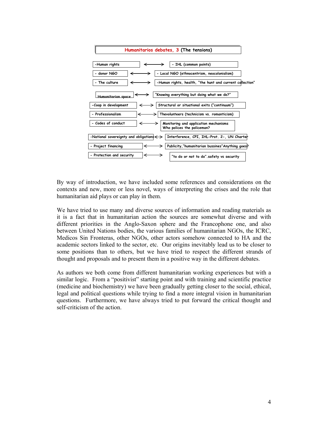

By way of introduction, we have included some references and considerations on the contexts and new, more or less novel, ways of interpreting the crises and the role that humanitarian aid plays or can play in them.

We have tried to use many and diverse sources of information and reading materials as it is a fact that in humanitarian action the sources are somewhat diverse and with different priorities in the Anglo-Saxon sphere and the Francophone one, and also between United Nations bodies, the various families of humanitarian NGOs, the ICRC, Medicos Sin Fronteras, other NGOs, other actors somehow connected to HA and the academic sectors linked to the sector, etc. Our origins inevitably lead us to be closer to some positions than to others, but we have tried to respect the different strands of thought and proposals and to present them in a positive way in the different debates.

As authors we both come from different humanitarian working experiences but with a similar logic. From a "positivist" starting point and with training and scientific practice (medicine and biochemistry) we have been gradually getting closer to the social, ethical, legal and political questions while trying to find a more integral vision in humanitarian questions. Furthermore, we have always tried to put forward the critical thought and self-criticism of the action.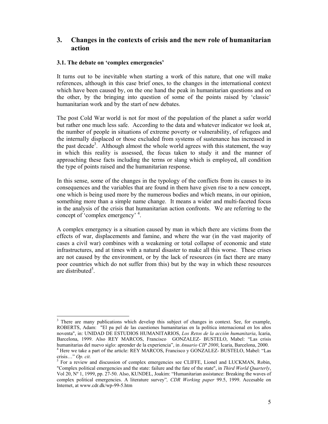## **3. Changes in the contexts of crisis and the new role of humanitarian action**

#### **3.1. The debate on 'complex emergencies'**

It turns out to be inevitable when starting a work of this nature, that one will make references, although in this case brief ones, to the changes in the international context which have been caused by, on the one hand the peak in humanitarian questions and on the other, by the bringing into question of some of the points raised by 'classic' humanitarian work and by the start of new debates.

The post Cold War world is not for most of the population of the planet a safer world but rather one much less safe. According to the data and whatever indicator we look at, the number of people in situations of extreme poverty or vulnerability, of refugees and the internally displaced or those excluded from systems of sustenance has increased in the past decade<sup>3</sup>. Although almost the whole world agrees with this statement, the way in which this reality is assessed, the focus taken to study it and the manner of approaching these facts including the terms or slang which is employed, all condition the type of points raised and the humanitarian response.

In this sense, some of the changes in the typology of the conflicts from its causes to its consequences and the variables that are found in them have given rise to a new concept, one which is being used more by the numerous bodies and which means, in our opinion, something more than a simple name change. It means a wider and multi-faceted focus in the analysis of the crisis that humanitarian action confronts. We are referring to the concept of 'complex emergency' <sup>4</sup>.

A complex emergency is a situation caused by man in which there are victims from the effects of war, displacements and famine, and where the war (in the vast majority of cases a civil war) combines with a weakening or total collapse of economic and state infrastructures, and at times with a natural disaster to make all this worse. These crises are not caused by the environment, or by the lack of resources (in fact there are many poor countries which do not suffer from this) but by the way in which these resources  $\alpha$  are distributed<sup>5</sup>.

 $\overline{a}$ <sup>3</sup> There are many publications which develop this subject of changes in context. See, for example, ROBERTS, Adam: "El pa pel de las cuestiones humanitarias en la política internacional en los años noventa", in: UNIDAD DE ESTUDIOS HUMANITARIOS, *Los Retos de la acción humanitaria*, Icaria, Barcelona, 1999. Also REY MARCOS, Francisco GONZALEZ- BUSTELO, Mabel: "Las crisis humanitarias del nuevo siglo: aprender de la experiencia", in *Anuario CIP 2000*, Icaria, Barcelona, 2000. 4 <sup>4</sup> Here we take a part of the article: REY MARCOS, Francisco y GONZALEZ- BUSTELO, Mabel: "Las crisis…" *Op. cit.* <sup>5</sup>

 $<sup>5</sup>$  For a review and discussion of complex emergencies see CLIFFE, Lionel and LUCKMAN, Robin,</sup> "Complex political emergencies and the state: failure and the fate of the state", in *Third World Quarterly*, Vol 20, Nº 1, 1999, pp. 27-50. Also, KUNDEL, Joakim: "Humanitarian assistance: Breaking the waves of complex political emergencies. A literature survey"*, CDR Working paper* 99.5, 1999. Accesable on Internet, at www.cdr.dk/wp-99-5.htm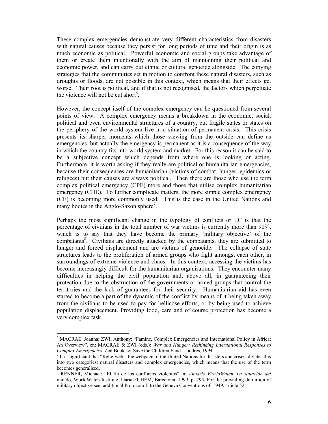These complex emergencies demonstrate very different characteristics from disasters with natural causes because they persist for long periods of time and their origin is as much economic as political. Powerful economic and social groups take advantage of them or create them intentionally with the aim of maintaining their political and economic power, and can carry out ethnic or cultural genocide alongside. The copying strategies that the communities set in motion to confront these natural disasters, such as droughts or floods, are not possible in this context, which means that their effects get worse. Their root is political, and if that is not recognised, the factors which perpetuate the violence will not be cut short<sup>6</sup>.

However, the concept itself of the complex emergency can be questioned from several points of view. A complex emergency means a breakdown in the economic, social, political and even environmental structures of a country, but fragile states or states on the periphery of the world system live in a situation of permanent crisis. This crisis presents its sharper moments which those viewing from the outside can define as emergencies, but actually the emergency is permanent as it is a consequence of the way in which the country fits into world system and market. For this reason it can be said to be a subjective concept which depends from where one is looking or acting. Furthermore, it is worth asking if they really are political or humanitarian emergencies, because their consequences are humanitarian (victims of combat, hunger, epidemics or refugees) but their causes are always political. Then there are those who use the term complex political emergency (CPE) more and those that utilise complex humanitarian emergency (CHE). To further complicate matters, the more simple complex emergency (CE) is becoming more commonly used. This is the case in the United Nations and many bodies in the Anglo-Saxon sphere<sup>7</sup>.

Perhaps the most significant change in the typology of conflicts or EC is that the percentage of civilians in the total number of war victims is currently more than 90%, which is to say that they have become the primary 'military objective' of the combatants<sup>8</sup>. Civilians are directly attacked by the combatants, they are submitted to hunger and forced displacement and are victims of genocide. The collapse of state structures leads to the proliferation of armed groups who fight amongst each other, in surroundings of extreme violence and chaos. In this context, accessing the victims has become increasingly difficult for the humanitarian organisations. They encounter many difficulties in helping the civil population and, above all, in guaranteeing their protection due to the obstruction of the governments or armed groups that control the territories and the lack of guarantees for their security. Humanitarian aid has even started to become a part of the dynamic of the conflict by means of it being taken away from the civilians to be used to pay for bellicose efforts, or by being used to achieve population displacement. Providing food, care and of course protection has become a very complex task.

<sup>&</sup>lt;sup>6</sup> MACRAE, Joanna; ZWI, Anthony: "Famine, Complex Emergencies and International Policy in Africa: An Overview", en: MACRAE & ZWI (eds.): *War and Hunger: Rethinking International Responses to Complex Emergencies.* Zed Books & Save the Children Fund. Londres, 1994. 7

It is significant that "Reliefweb", the webpage of the United Nations for disasters and crises, divides this into two categories: natural disasters and complex emergencies, which means that the use of the term becomes generalised.

<sup>8</sup> RENNER, Michael: "El fin de los conflictos violentos", in *Anuario WorldWatch. La situación del*  mundo, WorldWatch Institute, Icaria-FUHEM, Barcelona, 1999, p. 295. For the prevailing definition of military objective see: additional Protocolo II to the Geneva Conventions of 1949, article 52.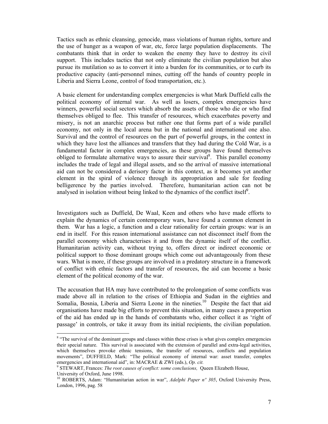Tactics such as ethnic cleansing, genocide, mass violations of human rights, torture and the use of hunger as a weapon of war, etc, force large population displacements. The combatants think that in order to weaken the enemy they have to destroy its civil support. This includes tactics that not only eliminate the civilian population but also pursue its mutilation so as to convert it into a burden for its communities, or to curb its productive capacity (anti-personnel mines, cutting off the hands of country people in Liberia and Sierra Leone, control of food transportation, etc.).

A basic element for understanding complex emergencies is what Mark Duffield calls the political economy of internal war. As well as losers, complex emergencies have winners, powerful social sectors which absorb the assets of those who die or who find themselves obliged to flee. This transfer of resources, which exacerbates poverty and misery, is not an anarchic process but rather one that forms part of a wide parallel economy, not only in the local arena but in the national and international one also. Survival and the control of resources on the part of powerful groups, in the context in which they have lost the alliances and transfers that they had during the Cold War, is a fundamental factor in complex emergencies, as these groups have found themselves obliged to formulate alternative ways to assure their survival<sup>8</sup>. This parallel economy includes the trade of legal and illegal assets, and so the arrival of massive international aid can not be considered a derisory factor in this context, as it becomes yet another element in the spiral of violence through its appropriation and sale for feeding belligerence by the parties involved. Therefore, humanitarian action can not be analysed in isolation without being linked to the dynamics of the conflict itself<sup> $9$ </sup>.

Investigators such as Duffield, De Waal, Keen and others who have made efforts to explain the dynamics of certain contemporary wars, have found a common element in them. War has a logic, a function and a clear rationality for certain groups: war is an end in itself. For this reason international assistance can not disconnect itself from the parallel economy which characterises it and from the dynamic itself of the conflict. Humanitarian activity can, without trying to, offers direct or indirect economic or political support to those dominant groups which come out advantageously from these wars. What is more, if these groups are involved in a predatory structure in a framework of conflict with ethnic factors and transfer of resources, the aid can become a basic element of the political economy of the war.

The accusation that HA may have contributed to the prolongation of some conflicts was made above all in relation to the crises of Ethiopia and Sudan in the eighties and Somalia, Bosnia, Liberia and Sierra Leone in the nineties.<sup>10</sup> Despite the fact that aid organisations have made big efforts to prevent this situation, in many cases a proportion of the aid has ended up in the hands of combatants who, either collect it as 'right of passage' in controls, or take it away from its initial recipients, the civilian population.

<sup>&</sup>lt;sup>8</sup> "The survival of the dominant groups and classes within these crises is what gives complex emergencies their special nature. This survival is associated with the extension of parallel and extra-legal activities, which themselves provoke ethnic tensions, the transfer of resources, conflicts and population movements", DUFFIELD, Mark: "The political economy of internal war: asset transfer, complex emergencies and international aid", in: MACRAE & ZWI (eds.), Op. cit.

<sup>&</sup>lt;sup>9</sup> STEWART, Frances: *The root causes of conflict: some conclusions*, Queen Elizabeth House, University of Oxford, June 1998.

<sup>&</sup>lt;sup>10</sup> ROBERTS, Adam: "Humanitarian action in war", Adelphi Paper n° 305, Oxford University Press, London, 1996, pag. 58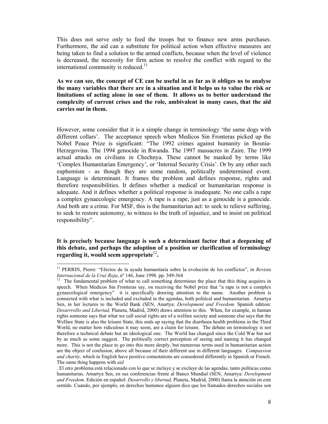This does not serve only to feed the troops but to finance new arms purchases. Furthermore, the aid can a substitute for political action when effective measures are being taken to find a solution to the armed conflicts, because when the level of violence is decreased, the necessity for firm action to resolve the conflict with regard to the international community is reduced. $<sup>11</sup>$ </sup>

**As we can see, the concept of CE can be useful in as far as it obliges us to analyse the many variables that there are in a situation and it helps us to value the risk or limitations of acting alone in one of them. It allows us to better understand the complexity of current crises and the role, ambivalent in many cases, that the aid carries out in them.** 

However, some consider that it is a simple change in terminology 'the same dogs with different collars'. The acceptance speech when Medicos Sin Fronteras picked up the Nobel Peace Prize is significant: "The 1992 crimes against humanity in Bosnia-Herzegovina. The 1994 genocide in Rwanda. The 1997 massacres in Zaire. The 1999 actual attacks on civilians in Chechnya. These cannot be masked by terms like 'Complex Humanitarian Emergency', or 'Internal Security Crisis'. Or by any other such euphemism - as though they are some random, politically undetermined event. Language is determinant. It frames the problem and defines response, rights and therefore responsibilities. It defines whether a medical or humanitarian response is adequate. And it defines whether a political response is inadequate. No one calls a rape a complex gynaecologic emergency. A rape is a rape, just as a genocide is a genocide. And both are a crime. For MSF, this is the humanitarian act: to seek to relieve suffering, to seek to restore autonomy, to witness to the truth of injustice, and to insist on political responsibility".

#### **It is precisely because language is such a determinant factor that a deepening of this debate, and perhaps the adoption of a position or clarification of terminology regarding it, would seem appropriate**<sup>12</sup>**.**

<sup>11</sup> PERRIN, Pierre: "Efectos de la ayuda humanitaria sobre la evolución de los conflictos", in *Revista Internacional de la Cruz Roja*, nº 146, June 1998. pp. 349-364<br><sup>12</sup> The fundamental problem of what to call something determines the place that this thing acquires in

speech. When Medicos Sin Fronteras say, on receiving the Nobel prize that "a rape is not a complex gynaecological emergency" it is specifically drawing attention to the name. Another problem is connected with what is included and excluded in the agendas, both political and humanitarian. Amartya Sen, in her lectures to the World Bank (SEN, Anartya: *Development and Freedom.* Spanish edition: *Desarrrollo and Libertad,* Planeta, Madrid, 2000) draws attention to this. When, for example, in human rights someone says that what we call social rights are of a welfare society and someone else says that the Welfare State is also the leisure State, this ends up saying that the diarrhoea health problems in the Third World, no matter how ridiculous it may seem, are a claim for leisure. The debate on terminology is not therefore a technical debate but an ideological one. The World has changed since the Cold War but not by as much as some suggest. The politically correct perception of seeing and naming it has changed more. This is not the place to go into this more deeply, but numerous terms used in humanitarian action are the object of confusion, above all because of their different use in different languages. *Compassion and charity,* which in English have positive connotations are consedered differently in Spanish or French. The same thing happens with *aid*

<sup>.</sup> El otro problema está relacionado con lo que se incluye y se excluye de las agendas, tanto políticas como humanitarias. Amartya Sen, en sus conferencias frente al Banco Mundial (SEN, Amartya: *Development and Freedom.* Edición en español: *Desarrollo y libertad,* Planeta, Madrid, 2000) llama la atención en este sentido. Cuando, por ejemplo, en derechos humanos alguien dice que los llamados derechos sociales son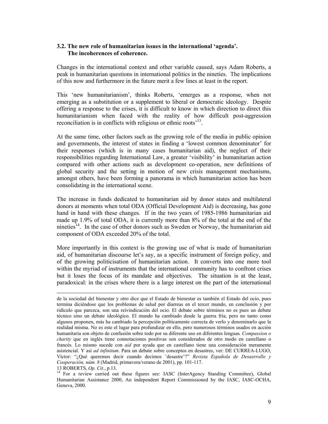#### **3.2. The new role of humanitarian issues in the international 'agenda'. The incoherences of coherence.**

Changes in the international context and other variable caused, says Adam Roberts, a peak in humanitarian questions in international politics in the nineties. The implications of this now and furthermore in the future merit a few lines at least in the report.

This 'new humanitarianism', thinks Roberts, 'emerges as a response, when not emerging as a substitution or a supplement to liberal or democratic ideology. Despite offering a response to the crises, it is difficult to know in which direction to direct this humanitarianism when faced with the reality of how difficult post-aggression reconciliation is in conflicts with religious or ethnic roots<sup>13</sup>.

At the same time, other factors such as the growing role of the media in public opinion and governments, the interest of states in finding a 'lowest common denominator' for their responses (which is in many cases humanitarian aid), the neglect of their responsibilities regarding International Law, a greater 'visibility' in humanitarian action compared with other actions such as development co-operation, new definitions of global security and the setting in motion of new crisis management mechanisms, amongst others, have been forming a panorama in which humanitarian action has been consolidating in the international scene.

The increase in funds dedicated to humanitarian aid by donor states and multilateral donors at moments when total ODA (Official Development Aid) is decreasing, has gone hand in hand with these changes. If in the two years of 1985-1986 humanitarian aid made up 1.9% of total ODA, it is currently more than 8% of the total at the end of the nineties<sup> $14$ </sup>. In the case of other donors such as Sweden or Norway, the humanitarian aid component of ODA exceeded 20% of the total.

More importantly in this context is the growing use of what is made of humanitarian aid, of humanitarian discourse let's say, as a specific instrument of foreign policy, and of the growing politicisation of humanitarian action. It converts into one more tool within the myriad of instruments that the international community has to confront crises but it loses the focus of its mandate and objectives. The situation is at the least, paradoxical: in the crises where there is a large interest on the part of the international

de la sociedad del bienestar y otro dice que el Estado de bienestar es también el Estado del ocio, pues termina diciéndose que los problemas de salud por diarreas en el tercer mundo, en conclusión y por ridículo que parezca, son una reivindicación del ocio. El debate sobre términos no es pues un debate técnico sino un debate ideológico. El mundo ha cambiado desde la guerra fría, pero no tanto como algunos proponen, más ha cambiado la percepción políticamente correcta de verlo y denominarlo que la realidad misma. No es este el lugar para profundizar en ello, pero numerosos términos usados en acción humanitaria son objeto de confusión sobre todo por su diferente uso en diferentes lenguas*. Compassion o charity* que en inglés tiene connotaciones positivas son considerados de otro modo en castellano o francés. Lo mismo sucede con *aid* por ayuda que en castellano tiene una consideración meramente asistencial. Y así *ad infinitum*. Para un debate sobre conceptos en desastres, ver: DE CURREA-LUGO, Víctor: "¿Qué queremos decir cuando decimos ¨desastre¨?" *Revista Española de Desasrrollo y Cooperación, núm. 8* (Madrid, primavera/verano de 2001), pp. 101-117.

<sup>&</sup>lt;sup>14</sup> For a review carried out these figures see: IASC (InterAgency Standing Committee), Global Humanitarian Assistance 2000, An independent Report Commissioned by the IASC, IASC-OCHA, Geneva, 2000.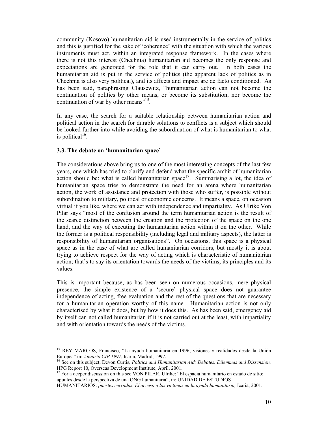community (Kosovo) humanitarian aid is used instrumentally in the service of politics and this is justified for the sake of 'coherence' with the situation with which the various instruments must act, within an integrated response framework. In the cases where there is not this interest (Chechnia) humanitarian aid becomes the only response and expectations are generated for the role that it can carry out. In both cases the humanitarian aid is put in the service of politics (the apparent lack of politics as in Chechnia is also very political), and its affects and impact are de facto conditioned. As has been said, paraphrasing Clausewitz, "humanitarian action can not become the continuation of politics by other means, or become its substitution, nor become the continuation of war by other means"<sup>15</sup>.

In any case, the search for a suitable relationship between humanitarian action and political action in the search for durable solutions to conflicts is a subject which should be looked further into while avoiding the subordination of what is humanitarian to what is political<sup>16</sup>.

#### **3.3. The debate on 'humanitarian space'**

 $\overline{a}$ 

The considerations above bring us to one of the most interesting concepts of the last few years, one which has tried to clarify and defend what the specific ambit of humanitarian action should be: what is called humanitarian space<sup>17</sup>. Summarising a lot, the idea of humanitarian space tries to demonstrate the need for an arena where humanitarian action, the work of assistance and protection with those who suffer, is possible without subordination to military, political or economic concerns. It means a space, on occasion virtual if you like, where we can act with independence and impartiality. As Ulrike Von Pilar says "most of the confusion around the term humanitarian action is the result of the scarce distinction between the creation and the protection of the space on the one hand, and the way of executing the humanitarian action within it on the other. While the former is a political responsibility (including legal and military aspects), the latter is responsibility of humanitarian organisations". On occasions, this space is a physical space as in the case of what are called humanitarian corridors, but mostly it is about trying to achieve respect for the way of acting which is characteristic of humanitarian action; that's to say its orientation towards the needs of the victims, its principles and its values.

This is important because, as has been seen on numerous occasions, mere physical presence, the simple existence of a 'secure' physical space does not guarantee independence of acting, free evaluation and the rest of the questions that are necessary for a humanitarian operation worthy of this name. Humanitarian action is not only characterised by what it does, but by how it does this. As has been said, emergency aid by itself can not called humanitarian if it is not carried out at the least, with impartiality and with orientation towards the needs of the victims.

<sup>&</sup>lt;sup>15</sup> REY MARCOS, Francisco, "La ayuda humanitaria en 1996; visiones y realidades desde la Unión Europea" in: *Anuario CIP 1997*, Icaria, Madrid, 1997.<br><sup>16</sup> See on this subject, Devon Curtis, *Politics and Humanitarian Aid: Debates, Dilemmas and Dissension,* 

HPG Report 10, Overseas Development Institute, April, 2001.

 $17$  For a deeper discussion on this see VON PILAR, Ulrike: "El espacia humanitario en estado de sitio: apuntes desde la perspectiva de una ONG humanitaria", in: UNIDAD DE ESTUDIOS

HUMANITARIOS: *puertes cerradas. El acceso a las victimas en la ayuda humanitaria,* Icaria, 2001.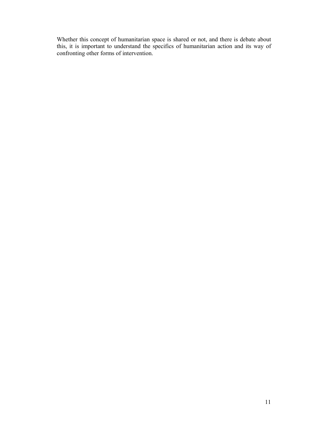Whether this concept of humanitarian space is shared or not, and there is debate about this, it is important to understand the specifics of humanitarian action and its way of confronting other forms of intervention.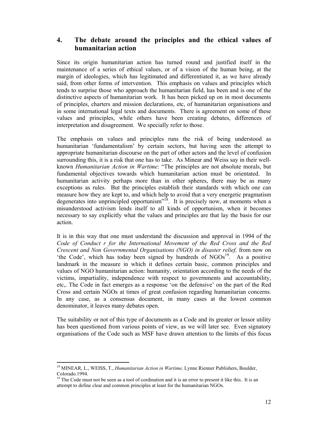## **4. The debate around the principles and the ethical values of humanitarian action**

Since its origin humanitarian action has turned round and justified itself in the maintenance of a series of ethical values, or of a vision of the human being, at the margin of ideologies, which has legitimated and differentiated it, as we have already said, from other forms of intervention. This emphasis on values and principles which tends to surprise those who approach the humanitarian field, has been and is one of the distinctive aspects of humanitarian work. It has been picked up on in most documents of principles, charters and mission declarations, etc, of humanitarian organisations and in some international legal texts and documents. There is agreement on some of these values and principles, while others have been creating debates, differences of interpretation and disagreement. We specially refer to those.

The emphasis on values and principles runs the risk of being understood as humanitarian 'fundamentalism' by certain sectors, but having seen the attempt to appropriate humanitarian discourse on the part of other actors and the level of confusion surrounding this, it is a risk that one has to take. As Minear and Weiss say in their wellknown *Humanitarian Action in Wartime*: "The principles are not absolute morals, but fundamental objectives towards which humanitarian action must be orientated. In humanitarian activity perhaps more than in other spheres, there may be as many exceptions as rules. But the principles establish their standards with which one can measure how they are kept to, and which help to avoid that a very energetic pragmatism degenerates into unprincipled opportunism"18. It is precisely now, at moments when a misunderstood activism lends itself to all kinds of opportunism, when it becomes necessary to say explicitly what the values and principles are that lay the basis for our action.

It is in this way that one must understand the discussion and approval in 1994 of the *Code of Conduct r for the International Movement of the Red Cross and the Red Crescent and Non Governmental Organisations (NGO) in disaster relief,* from now on 'the Code', which has today been signed by hundreds of  $NGOs<sup>19</sup>$ . As a positive landmark in the measure in which it defines certain basic, common principles and values of NGO humanitarian action: humanity, orientation according to the needs of the victims, impartiality, independence with respect to governments and accountability, etc,. The Code in fact emerges as a response 'on the defensive' on the part of the Red Cross and certain NGOs at times of great confusion regarding humanitarian concerns. In any case, as a consensus document, in many cases at the lowest common denominator, it leaves many debates open.

The suitability or not of this type of documents as a Code and its greater or lessor utility has been questioned from various points of view, as we will later see. Even signatory organisations of the Code such as MSF have drawn attention to the limits of this focus

<sup>18</sup> MINEAR, L., WEISS, T., *Humanitarian Action in Wartime,* Lynne Rienner Publishers, Boulder, Colorado.1994.

<sup>&</sup>lt;sup>19</sup> The Code must not be seen as a tool of cordination and it is an error to present it like this. It is an attempt to define clear and common principles at least for the humanitarian NGOs.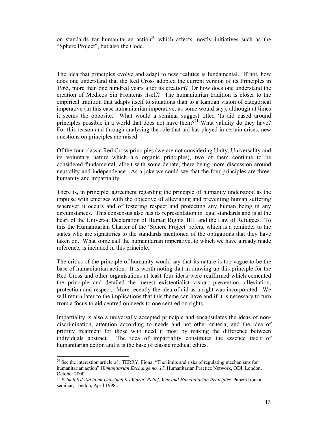on standards for humanitarian action<sup>20</sup> which affects mostly initiatives such as the "Sphere Project", but also the Code.

The idea that principles evolve and adapt to new realities is fundamental. If not, how does one understand that the Red Cross adopted the current version of its Principles in 1965, more than one hundred years after its creation? Or how does one understand the creation of Medicos Sin Fronteras itself? The humanitarian tradition is closer to the empirical tradition that adapts itself to situations than to a Kantian vision of categorical imperative (in this case humanitarian imperative, as some would say), although at times it seems the opposite. What would a seminar suggest titled 'Is aid based around principles possible in a world that does not have them?<sup>21</sup> What validity do they have? For this reason and through analysing the role that aid has played in certain crises, new questions on principles are raised.

Of the four classic Red Cross principles (we are not considering Unity, Universality and its voluntary nature which are organic principles), two of them continue to be considered fundamental, albeit with some debate, there being more discussion around neutrality and independence. As a joke we could say that the four principles are three: humanity and impartiality.

There is, in principle, agreement regarding the principle of humanity understood as the impulse with emerges with the objective of alleviating and preventing human suffering wherever it occurs and of fostering respect and protecting any human being in any circumstances. This consensus also has its representation in legal standards and is at the heart of the Universal Declaration of Human Rights, IHL and the Law of Refugees. To this the Humanitarian Charter of the 'Sphere Project' refers, which is a reminder to the states who are signatories to the standards mentioned of the obligations that they have taken on. What some call the humanitarian imperative, to which we have already made reference, is included in this principle.

The critics of the principle of humanity would say that its nature is too vague to be the base of humanitarian action. It is worth noting that in drawing up this principle for the Red Cross and other organisations at least four ideas were reaffirmed which cemented the principle and detailed the merest existentialist vision: prevention, alleviation, protection and respect. More recently the idea of aid as a right was incorporated. We will return later to the implications that this theme can have and if it is necessary to turn from a focus to aid centred on needs to one centred on rights.

Impartiality is also a universally accepted principle and encapsulates the ideas of nondiscrimination, attention according to needs and not other criteria, and the idea of priority treatment for those who need it most by making the difference between individuals abstract. The idea of impartiality constitutes the essence itself of humanitarian action and it is the base of classic medical ethics.

 $20$  See the interestion article of : TERRY, Fiona: "The limits and risks of regulating mechanisms for humanitarian action" *Humanitarian Exchange no. 17,* Humanitarian Practice Network, ODI, London, October 2000.

<sup>&</sup>lt;sup>21</sup> Principled Aid in an Unprinciples World: Relief, War and Humanitarian Principles. Papers from a seminar, London, April 1998..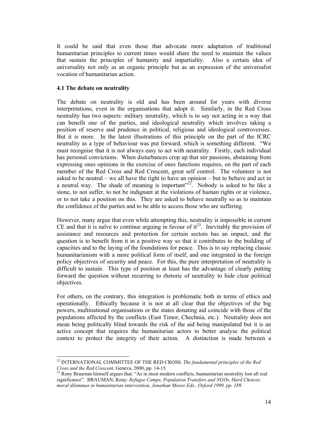It could be said that even those that advocate more adaptation of traditional humanitarian principles to current times would share the need to maintain the values that sustain the principles of humanity and impartiality. Also a certain idea of universality not only as an organic principle but as an expression of the universalist vocation of humanitarian action.

#### **4.1 The debate on neutrality**

 $\overline{a}$ 

The debate on neutrality is old and has been around for years with diverse interpretations, even in the organisations that adopt it. Similarly, in the Red Cross neutrality has two aspects: military neutrality, which is to say not acting in a way that can benefit one of the parties, and ideological neutrality which involves taking a position of reserve and prudence in political, religious and ideological controversies. But it is more. In the latest illustrations of this principle on the part of the ICRC neutrality as a type of behaviour was put forward, which is something different. "We must recognise that it is not always easy to act with neutrality. Firstly, each individual has personal convictions. When disturbances crop up that stir passions, abstaining from expressing ones opinions in the exercise of ones functions requires, on the part of each member of the Red Cross and Red Crescent, great self control. The volunteer is not asked to be neutral – we all have the right to have an opinion – but to behave and act in a neutral way. The shade of meaning is important  $x^{22}$ . Nobody is asked to be like a stone, to not suffer, to not be indignant at the violations of human rights or at violence, or to not take a position on this. They are asked to behave neutrally so as to maintain the confidence of the parties and to be able to access those who are suffering.

However, many argue that even while attempting this, neutrality is impossible in current CE and that it is naïve to continue arguing in favour of  $it^{23}$ . Inevitably the provision of assistance and resources and protection for certain sectors has an impact, and the question is to benefit from it in a positive way so that it contributes to the building of capacities and to the laying of the foundations for peace. This is to say replacing classic humanitarianism with a more political form of itself, and one integrated in the foreign policy objectives of security and peace. For this, the pure interpretation of neutrality is difficult to sustain. This type of position at least has the advantage of clearly putting forward the question without recurring to rhetoric of neutrality to hide clear political objectives.

For others, on the contrary, this integration is problematic both in terms of ethics and operationally. Ethically because it is not at all clear that the objectives of the big powers, multinational organisations or the states donating aid coincide with those of the populations affected by the conflicts (East Timor, Chechnia, etc.). Neutrality does not mean being politically blind towards the risk of the aid being manipulated but it is an active concept that requires the humanitarian actors to better analyse the political context to protect the integrity of their action. A distinction is made between a

<sup>22</sup> INTERNATIONAL COMMITTEE OF THE RED CROSS: *The fundamental principles of the Red Cross and the Red Crescent, Geneva, 2000, pp. 14-15.*<br><sup>23</sup> Rony Brauman himself argues that: "As in most modern conflicts, humanitarian neutrality lost all real

significance". BRAUMAN, Rony: *Refugee Camps, Population Transfers and NGOs, Hard Choices: moral dilemmas in humanitarian intervention, Jonathan Moore Eds., Oxford 1999, pp. 189.*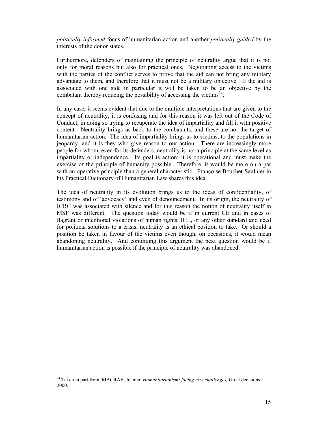*politically informed* focus of humanitarian action and another *politically guided* by the interests of the donor states.

Furthermore, defenders of maintaining the principle of neutrality argue that it is not only for moral reasons but also for practical ones. Negotiating access to the victims with the parties of the conflict serves to prove that the aid can not bring any military advantage to them, and therefore that it must not be a military objective. If the aid is associated with one side in particular it will be taken to be an objective by the combatant thereby reducing the possibility of accessing the victims<sup>24</sup>.

In any case, it seems evident that due to the multiple interpretations that are given to the concept of neutrality, it is confusing and for this reason it was left out of the Code of Conduct, in doing so trying to recuperate the idea of impartiality and fill it with positive content. Neutrality brings us back to the combatants, and these are not the target of humanitarian action. The idea of impartiality brings us to victims, to the populations in jeopardy, and it is they who give reason to our action. There are increasingly more people for whom, even for its defenders, neutrality is not a principle at the same level as impartiality or independence. Its goal is action; it is operational and must make the exercise of the principle of humanity possible. Therefore, it would be more on a par with an operative principle than a general characteristic. Françoise Bouchet-Saulnier in his Practical Dictionary of Humanitarian Law shares this idea.

The idea of neutrality in its evolution brings us to the ideas of confidentiality, of testimony and of 'advocacy' and even of denouncement. In its origin, the neutrality of ICRC was associated with silence and for this reason the notion of neutrality itself in MSF was different. The question today would be if in current CE and in cases of flagrant or intentional violations of human rights, IHL, or any other standard and need for political solutions to a crisis, neutrality is an ethical position to take. Or should a position be taken in favour of the victims even though, on occasions, it would mean abandoning neutrality. And continuing this argument the next question would be if humanitarian action is possible if the principle of neutrality was abandoned.

<sup>24</sup> Taken in part from: MACRAE, Joanna: *Humanitarianism: facing new challenges,* Great decisions 2000.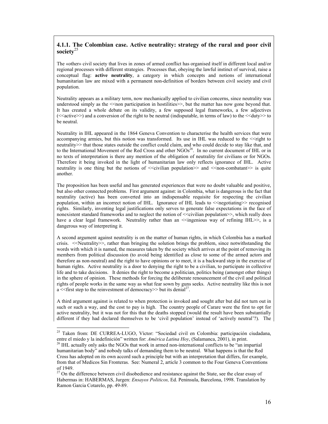#### **4.1.1. The Colombian case. Active neutrality: strategy of the rural and poor civil society**<sup>25</sup>

The «other» civil society that lives in zones of armed conflict has organised itself in different local and/or regional processes with different strategies. Processes that, obeying the lawful instinct of survival, raise a conceptual flag: **active neutrality**, a category in which concepts and notions of international humanitarian law are mixed with a permanent non-definition of borders between civil society and civil population.

Neutrality appears as a military term, now mechanically applied to civilian concerns, since neutrality was understood simply as the  $\le$ non participation in hostilities $\ge$ , but the matter has now gone beyond that. It has created a whole debate on its validity, a few supposed legal frameworks, a few adjectives  $\leq$  active $\geq$ ) and a conversion of the right to be neutral (indisputable, in terms of law) to the  $\leq$  duty $\geq$  to be neutral.

Neutrality in IHL appeared in the 1864 Geneva Convention to characterise the health services that were accompanying armies, but this notion was transformed. Its use in IHL was reduced to the <<right to neutrality>> that those states outside the conflict could claim, and who could decide to stay like that, and to the International Movement of the Red Cross and other NGOs<sup>26</sup>. In no current document of IHL or in no texts of interpretation is there any mention of the obligation of neutrality for civilians or for NGOs. Therefore it being invoked in the light of humanitarian law only reflects ignorance of IHL. Active neutrality is one thing but the notions of  $\leq$  civilian population  $\geq$  and  $\leq$  non-combatant $\geq$  is quite another.

The proposition has been useful and has generated experiences that were no doubt valuable and positive, but also other connected problems. First argument against: in Colombia, what is dangerous is the fact that neutrality (active) has been converted into an indispensable requisite for respecting the civilian population, within an incorrect notion of IHL. Ignorance of IHL leads to  $\leq$ negotiating>> recognised rights. Similarly, inventing legal justifications only serves to generate false expectations in the face of nonexistent standard frameworks and to neglect the notion of <<civilian population>>, which really does have a clear legal framework. Neutrality rather than an  $\leq$ ingenious way of refining IHL $\geq$ , is a dangerous way of interpreting it.

A second argument against neutrality is on the matter of human rights, in which Colombia has a marked crisis. <<Neutrality>>, rather than bringing the solution brings the problem, since notwithstanding the words with which it is named, the measures taken by the society which arrives at the point of removing its members from political discussion (to avoid being identified as close to some of the armed actors and therefore as non-neutral) and the right to have opinions or to meet, it is a backward step in the exercise of human rights. Active neutrality is a door to denying the right to be a civilian, to participate in collective life and to take decisions. It denies the right to become a politician, politics being (amongst other things) in the sphere of opinion. These methods for forcing the deliberate renouncement of the civil and political rights of people works in the same way as what fear sown by guns seeks. Active neutrality like this is not a  $\le$  first step to the reinvestment of democracy >> but its denial<sup>27</sup>.

A third argument against is related to when protection is invoked and sought after but did not turn out in such or such a way, and the cost to pay is high. The country people of Carare were the first to opt for active neutrality, but it was not for this that the deaths stopped (would the result have been substantially different if they had declared themselves to be 'civil population' instead of 'actively neutral'?). The

<sup>&</sup>lt;sup>25</sup> Taken from: DE CURREA-LUGO, Víctor: "Sociedad civil en Colombia: participación ciudadana, entre el miedo y la indefinición" written for: *América Latina Hoy*, (Salamanca, 2001), in print. 26 IHL actually only asks the NGOs that work in armed non-international conflicts to be "an impartial

humanitarian body" and nobody talks of demanding them to be neutral. What happens is that the Red Cross has adopted on its own accord such a principle but with an interpretation that differs, for example, from that of Medicos Sin Fronteras. See: Numeral 2, article 3 common to the Four Geneva Conventions of 1949.

<sup>&</sup>lt;sup>27</sup> On the difference between civil disobedience and resistance against the State, see the clear essay of Habermas in: HABERMAS, Jurgen: *Ensayos Politicos,* Ed. Peninsula, Barcelona, 1998. Translation by Ramon Garcia Cotarelo, pp. 49-89.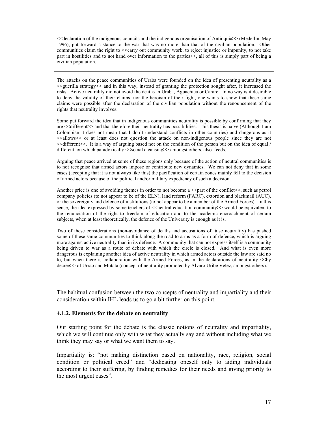<<declaration of the indigenous councils and the indigenous organisation of Antioquia>> (Medellin, May 1996), put forward a stance to the war that was no more than that of the civilian population. Other communities claim the right to <<carry out community work, to reject injustice or impunity, to not take part in hostilities and to not hand over information to the parties >>, all of this is simply part of being a civilian population.

The attacks on the peace communities of Uraba were founded on the idea of presenting neutrality as a  $\leq$  guerilla strategy $\geq$  and in this way, instead of granting the protection sought after, it increased the risks. Active neutrality did not avoid the deaths in Uraba, Aguachica or Carare. In no way is it desirable to deny the validity of their claims, nor the heroism of their fight, one wants to show that these same claims were possible after the declaration of the civilian population without the renouncement of the rights that neutrality involves.

Some put forward the idea that in indigenous communities neutrality is possible by confirming that they are <<different>> and that therefore their neutrality has possibilities. This thesis is naïve (Although I am Colombian it does not mean that I don't understand conflicts in other countries) and dangerous as it <<allows>> or at least does not question the attack on non-indigenous people since they are not <<different>>. It is a way of arguing based not on the condition of the person but on the idea of equal / different, on which paradoxically <<social cleansing>>,amongst others, also feeds.

Arguing that peace arrived at some of these regions only because of the action of neutral communities is to not recognise that armed actors impose or contribute new dynamics. We can not deny that in some cases (accepting that it is not always like this) the pacification of certain zones mainly fell to the decision of armed actors because of the political and/or military expediency of such a decision.

Another price is one of avoiding themes in order to not become a  $\leq$  part of the conflict $\geq$ , such as petrol company policies (to not appear to be of the ELN), land reform (FARC), extortion and blackmail (AUC), or the sovereignty and defence of institutions (to not appear to be a member of the Armed Forces). In this sense, the idea expressed by some teachers of  $\le$ neutral education community>> would be equivalent to the renunciation of the right to freedom of education and to the academic encroachment of certain subjects, when at least theoretically, the defence of the University is enough as it is.

Two of these considerations (non-avoidance of deaths and accusations of false neutrality) has pushed some of these same communities to think along the road to arms as a form of defence, which is arguing more against active neutrality than in its defence. A community that can not express itself is a community being driven to war as a route of debate with which the circle is closed. And what is even more dangerous is explaining another idea of active neutrality in which armed actors outside the law are said no to, but when there is collaboration with the Armed Forces, as in the declarations of neutrality <<by decree>> of Urrao and Mutata (concept of neutrality promoted by Alvaro Uribe Velez, amongst others).

The habitual confusion between the two concepts of neutrality and impartiality and their consideration within IHL leads us to go a bit further on this point.

#### **4.1.2. Elements for the debate on neutrality**

Our starting point for the debate is the classic notions of neutrality and impartiality, which we will continue only with what they actually say and without including what we think they may say or what we want them to say.

Impartiality is: "not making distinction based on nationality, race, religion, social condition or political creed" and "dedicating oneself only to aiding individuals according to their suffering, by finding remedies for their needs and giving priority to the most urgent cases".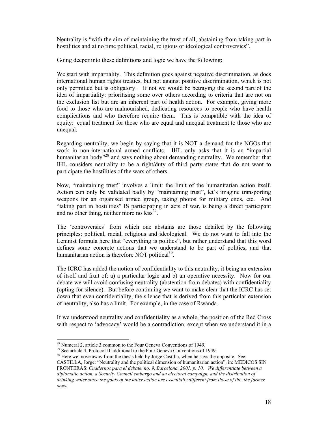Neutrality is "with the aim of maintaining the trust of all, abstaining from taking part in hostilities and at no time political, racial, religious or ideological controversies".

Going deeper into these definitions and logic we have the following:

We start with impartiality. This definition goes against negative discrimination, as does international human rights treaties, but not against positive discrimination, which is not only permitted but is obligatory. If not we would be betraying the second part of the idea of impartiality: prioritising some over others according to criteria that are not on the exclusion list but are an inherent part of health action. For example, giving more food to those who are malnourished, dedicating resources to people who have health complications and who therefore require them. This is compatible with the idea of equity: equal treatment for those who are equal and unequal treatment to those who are unequal.

Regarding neutrality, we begin by saying that it is NOT a demand for the NGOs that work in non-international armed conflicts. IHL only asks that it is an "impartial humanitarian body<sup>328</sup> and says nothing about demanding neutrality. We remember that IHL considers neutrality to be a right/duty of third party states that do not want to participate the hostilities of the wars of others.

Now, "maintaining trust" involves a limit: the limit of the humanitarian action itself. Action con only be validated badly by "maintaining trust", let's imagine transporting weapons for an organised armed group, taking photos for military ends, etc. And "taking part in hostilities" IS participating in acts of war, is being a direct participant and no other thing, neither more no  $less<sup>29</sup>$ .

The 'controversies' from which one abstains are those detailed by the following principles: political, racial, religious and ideological. We do not want to fall into the Leninist formula here that "everything is politics", but rather understand that this word defines some concrete actions that we understand to be part of politics, and that humanitarian action is therefore NOT political<sup>30</sup>.

The ICRC has added the notion of confidentiality to this neutrality, it being an extension of itself and fruit of: a) a particular logic and b) an operative necessity. Now for our debate we will avoid confusing neutrality (abstention from debates) with confidentiality (opting for silence). But before continuing we want to make clear that the ICRC has set down that even confidentiality, the silence that is derived from this particular extension of neutrality, also has a limit. For example, in the case of Rwanda.

If we understood neutrality and confidentiality as a whole, the position of the Red Cross with respect to 'advocacy' would be a contradiction, except when we understand it in a

 $\overline{a}$  $2<sup>28</sup>$  Numeral 2, article 3 common to the Four Geneva Conventions of 1949.

<sup>&</sup>lt;sup>29</sup> See article 4, Protocol II additional to the Four Geneva Conventions of 1949.

 $30$  Here we move away from the thesis held by Jorge Castilla, when he says the opposite. See: CASTILLA, Jorge: "Neutrality and the political dimension of humanitarian action", in: MEDICOS SIN FRONTERAS: *Cuadernos para el debate, no. 9, Barcelona, 2001, p. 10. We differentiate between a diplomatic action, a Security Council embargo and an electoral campaign, and the distribution of drinking water since the goals of the latter action are essentially different from those of the the former ones.*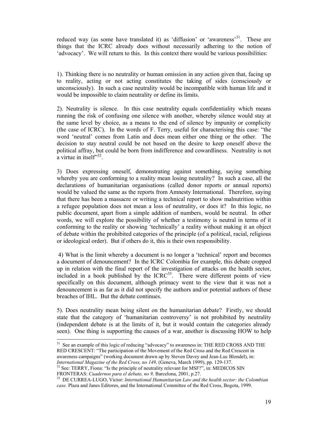reduced way (as some have translated it) as 'diffusion' or 'awareness'<sup>31</sup>. These are things that the ICRC already does without necessarily adhering to the notion of 'advocacy'. We will return to this. In this context there would be various possibilities:

1). Thinking there is no neutrality or human omission in any action given that, facing up to reality, acting or not acting constitutes the taking of sides (consciously or unconsciously). In such a case neutrality would be incompatible with human life and it would be impossible to claim neutrality or define its limits.

2). Neutrality is silence. In this case neutrality equals confidentiality which means running the risk of confusing one silence with another, whereby silence would stay at the same level by choice, as a means to the end of silence by impunity or complicity (the case of ICRC). In the words of F. Terry, useful for characterising this case: "the word 'neutral' comes from Latin and does mean either one thing or the other. The decision to stay neutral could be not based on the desire to keep oneself above the political affray, but could be born from indifference and cowardliness. Neutrality is not a virtue in itself $32$ .

3) Does expressing oneself, demonstrating against something, saying something whereby you are conforming to a reality mean losing neutrality? In such a case, all the declarations of humanitarian organisations (called donor reports or annual reports) would be valued the same as the reports from Amnesty International. Therefore, saying that there has been a massacre or writing a technical report to show malnutrition within a refugee population does not mean a loss of neutrality, or does it? In this logic, no public document, apart from a simple addition of numbers, would be neutral. In other words, we will explore the possibility of whether a testimony is neutral in terms of it conforming to the reality or showing 'technically' a reality without making it an object of debate within the prohibited categories of the principle (of a political, racial, religious or ideological order). But if others do it, this is their own responsibility.

 4) What is the limit whereby a document is no longer a 'technical' report and becomes a document of denouncement? In the ICRC Colombia for example, this debate cropped up in relation with the final report of the investigation of attacks on the health sector, included in a book published by the  $ICRC<sup>33</sup>$ . There were different points of view specifically on this document, although primacy went to the view that it was not a denouncement is as far as it did not specify the authors and/or potential authors of these breaches of IHL. But the debate continues.

5). Does neutrality mean being silent on the humanitarian debate? Firstly, we should state that the category of 'humanitarian controversy' is not prohibited by neutrality (independent debate is at the limits of it, but it would contain the categories already seen). One thing is supporting the causes of a war, another is discussing HOW to help

 $\overline{a}$  $31$  See an example of this logic of reducing "advocacy" to awareness in: THE RED CROSS AND THE RED CRESCENT: "The participation of the Movement of the Red Cross and the Red Crescent in awareness campaigns" (working document drawn up by Steven Davey and Jean-Luc Blondel), in:

*International Magazine of the Red Cross, no 149,* (Geneva, March 1999), pp. 129-137.<br><sup>32</sup> See: TERRY, Fiona: "Is the principle of neutrality relevant for MSF?", in: MEDICOS SIN FRONTERAS: *Cuadernos para el debate, no 9*,

<sup>&</sup>lt;sup>33</sup> DE CURREA-LUGO, Victor: *International Humanitarian Law and the health sector: the Colombian case.* Plaza and Janes Editores, and the International Committee of the Red Cross, Bogota, 1999.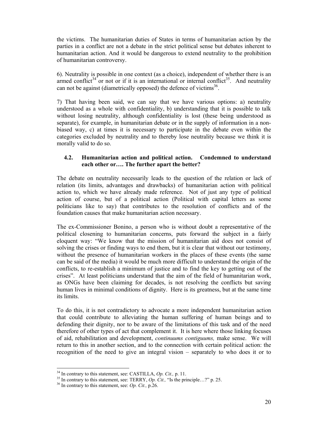the victims. The humanitarian duties of States in terms of humanitarian action by the parties in a conflict are not a debate in the strict political sense but debates inherent to humanitarian action. And it would be dangerous to extend neutrality to the prohibition of humanitarian controversy.

6). Neutrality is possible in one context (as a choice), independent of whether there is an armed conflict<sup>34</sup> or not or if it is an international or internal conflict<sup>35</sup>. And neutrality can not be against (diametrically opposed) the defence of victims<sup>36</sup>.

7) That having been said, we can say that we have various options: a) neutrality understood as a whole with confidentiality, b) understanding that it is possible to talk without losing neutrality, although confidentiality is lost (these being understood as separate), for example, in humanitarian debate or in the supply of information in a nonbiased way, c) at times it is necessary to participate in the debate even within the categories excluded by neutrality and to thereby lose neutrality because we think it is morally valid to do so.

#### **4.2. Humanitarian action and political action. Condemned to understand each other or…. The further apart the better?**

The debate on neutrality necessarily leads to the question of the relation or lack of relation (its limits, advantages and drawbacks) of humanitarian action with political action to, which we have already made reference. Not of just any type of political action of course, but of a political action (Political with capital letters as some politicians like to say) that contributes to the resolution of conflicts and of the foundation causes that make humanitarian action necessary.

The ex-Commissioner Bonino, a person who is without doubt a representative of the political closening to humanitarian concerns, puts forward the subject in a fairly eloquent way: "We know that the mission of humanitarian aid does not consist of solving the crises or finding ways to end them, but it is clear that without our testimony, without the presence of humanitarian workers in the places of these events (the same can be said of the media) it would be much more difficult to understand the origin of the conflicts, to re-establish a minimum of justice and to find the key to getting out of the crises". At least politicians understand that the aim of the field of humanitarian work, as ONGs have been claiming for decades, is not resolving the conflicts but saving human lives in minimal conditions of dignity. Here is its greatness, but at the same time its limits.

To do this, it is not contradictory to advocate a more independent humanitarian action that could contribute to alleviating the human suffering of human beings and to defending their dignity, nor to be aware of the limitations of this task and of the need therefore of other types of act that complement it. It is here where those linking focuses of aid, rehabilitation and development, *continuums contiguums,* make sense. We will return to this in another section, and to the connection with certain political action: the recognition of the need to give an integral vision – separately to who does it or to

<sup>&</sup>lt;sup>34</sup> In contrary to this statement, see: CASTILLA, *Op. Cit.*, p. 11.<br><sup>35</sup> In contrary to this statement, see: TERRY, *Op. Cit.*, "Is the principle...?" p. 25.<br><sup>36</sup> In contrary to this statement, see: *Op. Cit.*, p.26.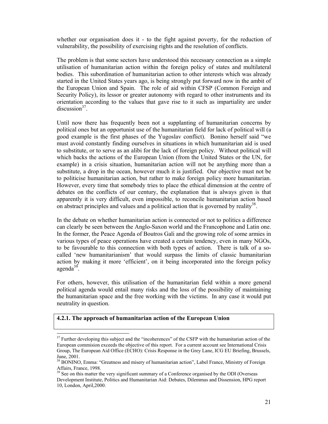whether our organisation does it - to the fight against poverty, for the reduction of vulnerability, the possibility of exercising rights and the resolution of conflicts.

The problem is that some sectors have understood this necessary connection as a simple utilisation of humanitarian action within the foreign policy of states and multilateral bodies. This subordination of humanitarian action to other interests which was already started in the United States years ago, is being strongly put forward now in the ambit of the European Union and Spain. The role of aid within CFSP (Common Foreign and Security Policy), its lessor or greater autonomy with regard to other instruments and its orientation according to the values that gave rise to it such as impartiality are under discussion $37$ .

Until now there has frequently been not a supplanting of humanitarian concerns by political ones but an opportunist use of the humanitarian field for lack of political will (a good example is the first phases of the Yugoslav conflict). Bonino herself said "we must avoid constantly finding ourselves in situations in which humanitarian aid is used to substitute, or to serve as an alibi for the lack of foreign policy. Without political will which backs the actions of the European Union (from the United States or the UN, for example) in a crisis situation, humanitarian action will not be anything more than a substitute, a drop in the ocean, however much it is justified. Our objective must not be to politicise humanitarian action, but rather to make foreign policy more humanitarian. However, every time that somebody tries to place the ethical dimension at the centre of debates on the conflicts of our century, the explanation that is always given is that apparently it is very difficult, even impossible, to reconcile humanitarian action based on abstract principles and values and a political action that is governed by reality<sup>38</sup>.

In the debate on whether humanitarian action is connected or not to politics a difference can clearly be seen between the Anglo-Saxon world and the Francophone and Latin one. In the former, the Peace Agenda of Boutros Gali and the growing role of some armies in various types of peace operations have created a certain tendency, even in many NGOs, to be favourable to this connection with both types of action. There is talk of a socalled 'new humanitarianism' that would surpass the limits of classic humanitarian action by making it more 'efficient', on it being incorporated into the foreign policy  $a$ genda<sup>39</sup>.

For others, however, this utilisation of the humanitarian field within a more general political agenda would entail many risks and the loss of the possibility of maintaining the humanitarian space and the free working with the victims. In any case it would put neutrality in question.

#### **4.2.1. The approach of humanitarian action of the European Union**

 $37$  Further developing this subject and the "incoherences" of the CSFP with the humanitarian action of the European commision exceeds the objective of this report. For a current account see International Crisis Group, The European Aid Office (ECHO): Crisis Response in the Grey Lane, ICG EU Briefing, Brussels, June, 2001.

<sup>&</sup>lt;sup>38</sup> BONINO, Emma: "Greatness and misery of humanitarian action", Label France, Ministry of Foreign Affairs, France, 1998.

<sup>&</sup>lt;sup>39</sup> See on this matter the very significant summary of a Conference organised by the ODI (Overseas Development Institute, Politics and Humanitarian Aid: Debates, Dilemmas and Dissension, HPG report 10, London, April,2000.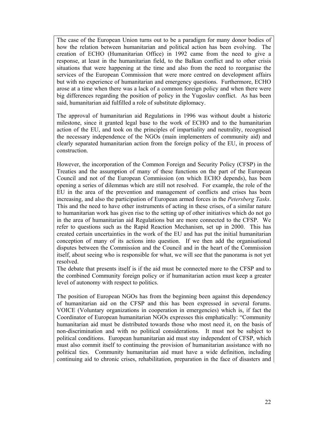The case of the European Union turns out to be a paradigm for many donor bodies of how the relation between humanitarian and political action has been evolving. The creation of ECHO (Humanitarian Office) in 1992 came from the need to give a response, at least in the humanitarian field, to the Balkan conflict and to other crisis situations that were happening at the time and also from the need to reorganise the services of the European Commission that were more centred on development affairs but with no experience of humanitarian and emergency questions. Furthermore, ECHO arose at a time when there was a lack of a common foreign policy and when there were big differences regarding the position of policy in the Yugoslav conflict. As has been said, humanitarian aid fulfilled a role of substitute diplomacy.

The approval of humanitarian aid Regulations in 1996 was without doubt a historic milestone, since it granted legal base to the work of ECHO and to the humanitarian action of the EU, and took on the principles of impartiality and neutrality, recognised the necessary independence of the NGOs (main implementers of community aid) and clearly separated humanitarian action from the foreign policy of the EU, in process of construction.

However, the incorporation of the Common Foreign and Security Policy (CFSP) in the Treaties and the assumption of many of these functions on the part of the European Council and not of the European Commission (on which ECHO depends), has been opening a series of dilemmas which are still not resolved. For example, the role of the EU in the area of the prevention and management of conflicts and crises has been increasing, and also the participation of European armed forces in the *Petersberg Tasks*. This and the need to have other instruments of acting in these crises, of a similar nature to humanitarian work has given rise to the setting up of other initiatives which do not go in the area of humanitarian aid Regulations but are more connected to the CFSP. We refer to questions such as the Rapid Reaction Mechanism, set up in 2000. This has created certain uncertainties in the work of the EU and has put the initial humanitarian conception of many of its actions into question. If we then add the organisational disputes between the Commission and the Council and in the heart of the Commission itself, about seeing who is responsible for what, we will see that the panorama is not yet resolved.

The debate that presents itself is if the aid must be connected more to the CFSP and to the combined Community foreign policy or if humanitarian action must keep a greater level of autonomy with respect to politics.

The position of European NGOs has from the beginning been against this dependency of humanitarian aid on the CFSP and this has been expressed in several forums. VOICE (Voluntary organizations in cooperation in emergencies) which is, if fact the Coordinator of European humanitarian NGOs expresses this emphatically: "Community humanitarian aid must be distributed towards those who most need it, on the basis of non-discrimination and with no political considerations. It must not be subject to political conditions. European humanitarian aid must stay independent of CFSP, which must also commit itself to continuing the provision of humanitarian assistance with no political ties. Community humanitarian aid must have a wide definition, including continuing aid to chronic crises, rehabilitation, preparation in the face of disasters and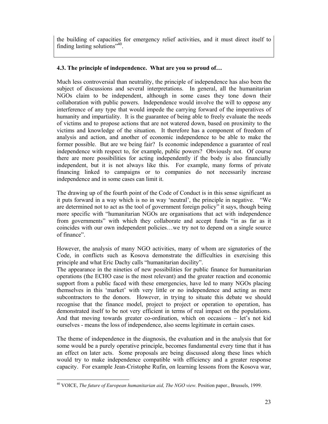the building of capacities for emergency relief activities, and it must direct itself to finding lasting solutions"<sup>40</sup>.

#### **4.3. The principle of independence. What are you so proud of…**

Much less controversial than neutrality, the principle of independence has also been the subject of discussions and several interpretations. In general, all the humanitarian NGOs claim to be independent, although in some cases they tone down their collaboration with public powers. Independence would involve the will to oppose any interference of any type that would impede the carrying forward of the imperatives of humanity and impartiality. It is the guarantee of being able to freely evaluate the needs of victims and to propose actions that are not watered down, based on proximity to the victims and knowledge of the situation. It therefore has a component of freedom of analysis and action, and another of economic independence to be able to make the former possible. But are we being fair? Is economic independence a guarantee of real independence with respect to, for example, public powers? Obviously not. Of course there are more possibilities for acting independently if the body is also financially independent, but it is not always like this. For example, many forms of private financing linked to campaigns or to companies do not necessarily increase independence and in some cases can limit it.

The drawing up of the fourth point of the Code of Conduct is in this sense significant as it puts forward in a way which is no in way 'neutral', the principle in negative. "We are determined not to act as the tool of government foreign policy" it says, though being more specific with "humanitarian NGOs are organisations that act with independence from governments" with which they collaborate and accept funds "in as far as it coincides with our own independent policies…we try not to depend on a single source of finance".

However, the analysis of many NGO activities, many of whom are signatories of the Code, in conflicts such as Kosova demonstrate the difficulties in exercising this principle and what Eric Dachy calls "humanitarian docility".

The appearance in the nineties of new possibilities for public finance for humanitarian operations (the ECHO case is the most relevant) and the greater reaction and economic support from a public faced with these emergencies, have led to many NGOs placing themselves in this 'market' with very little or no independence and acting as mere subcontractors to the donors. However, in trying to situate this debate we should recognise that the finance model, project to project or operation to operation, has demonstrated itself to be not very efficient in terms of real impact on the populations. And that moving towards greater co-ordination, which on occasions – let's not kid ourselves - means the loss of independence, also seems legitimate in certain cases.

The theme of independence in the diagnosis, the evaluation and in the analysis that for some would be a purely operative principle, becomes fundamental every time that it has an effect on later acts. Some proposals are being discussed along these lines which would try to make independence compatible with efficiency and a greater response capacity. For example Jean-Cristophe Rufin, on learning lessons from the Kosova war,

 $\overline{a}$ 40 VOICE, *The future of European humanitarian aid, The NGO view.* Position paper., Brussels, 1999.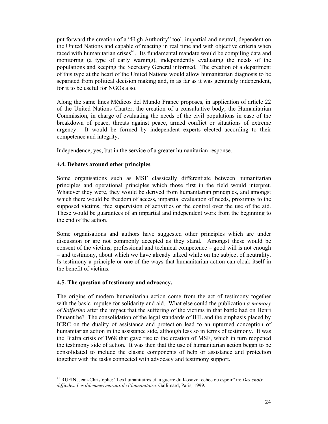put forward the creation of a "High Authority" tool, impartial and neutral, dependent on the United Nations and capable of reacting in real time and with objective criteria when faced with humanitarian crises<sup>41</sup>. Its fundamental mandate would be compiling data and monitoring (a type of early warning), independently evaluating the needs of the populations and keeping the Secretary General informed. The creation of a department of this type at the heart of the United Nations would allow humanitarian diagnosis to be separated from political decision making and, in as far as it was genuinely independent, for it to be useful for NGOs also.

Along the same lines Médicos del Mundo France proposes, in application of article 22 of the United Nations Charter, the creation of a consultative body, the Humanitarian Commission, in charge of evaluating the needs of the civil populations in case of the breakdown of peace, threats against peace, armed conflict or situations of extreme urgency. It would be formed by independent experts elected according to their competence and integrity.

Independence, yes, but in the service of a greater humanitarian response.

#### **4.4. Debates around other principles**

Some organisations such as MSF classically differentiate between humanitarian principles and operational principles which those first in the field would interpret. Whatever they were, they would be derived from humanitarian principles, and amongst which there would be freedom of access, impartial evaluation of needs, proximity to the supposed victims, free supervision of activities or the control over the use of the aid. These would be guarantees of an impartial and independent work from the beginning to the end of the action.

Some organisations and authors have suggested other principles which are under discussion or are not commonly accepted as they stand. Amongst these would be consent of the victims, professional and technical competence – good will is not enough – and testimony, about which we have already talked while on the subject of neutrality. Is testimony a principle or one of the ways that humanitarian action can cloak itself in the benefit of victims.

#### **4.5. The question of testimony and advocacy.**

 $\overline{a}$ 

The origins of modern humanitarian action come from the act of testimony together with the basic impulse for solidarity and aid. What else could the publication *a memory of Solferino* after the impact that the suffering of the victims in that battle had on Henri Dunant be? The consolidation of the legal standards of IHL and the emphasis placed by ICRC on the duality of assistance and protection lead to an upturned conception of humanitarian action in the assistance side, although less so in terms of testimony. It was the Biafra crisis of 1968 that gave rise to the creation of MSF, which in turn reopened the testimony side of action. It was then that the use of humanitarian action began to be consolidated to include the classic components of help or assistance and protection together with the tasks connected with advocacy and testimony support.

<sup>41</sup> RUFIN, Jean-Christophe: "Les humanitaires et la guerre du Kosovo: echec ou espoir" in: *Des choix difficiles. Les dilemmes moraux de l'humanitaire,* Gallimard, Paris, 1999.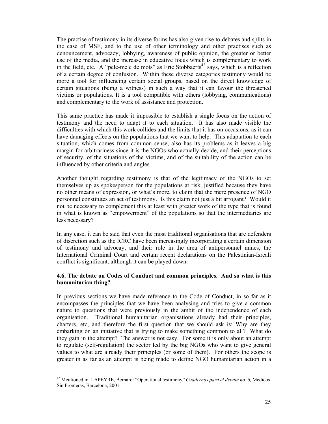The practise of testimony in its diverse forms has also given rise to debates and splits in the case of MSF, and to the use of other terminology and other practises such as denouncement, advocacy, lobbying, awareness of public opinion, the greater or better use of the media, and the increase in educative focus which is complementary to work in the field, etc. A "pele-mele de mots" as Eric Stobbaerts<sup>42</sup> says, which is a reflection of a certain degree of confusion. Within these diverse categories testimony would be more a tool for influencing certain social groups, based on the direct knowledge of certain situations (being a witness) in such a way that it can favour the threatened victims or populations. It is a tool compatible with others (lobbying, communications) and complementary to the work of assistance and protection.

This same practice has made it impossible to establish a single focus on the action of testimony and the need to adapt it to each situation. It has also made visible the difficulties with which this work collides and the limits that it has on occasions, as it can have damaging effects on the populations that we want to help. This adaptation to each situation, which comes from common sense, also has its problems as it leaves a big margin for arbitrariness since it is the NGOs who actually decide, and their perceptions of security, of the situations of the victims, and of the suitability of the action can be influenced by other criteria and angles.

Another thought regarding testimony is that of the legitimacy of the NGOs to set themselves up as spokesperson for the populations at risk, justified because they have no other means of expression, or what's more, to claim that the mere presence of NGO personnel constitutes an act of testimony. Is this claim not just a bit arrogant? Would it not be necessary to complement this at least with greater work of the type that is found in what is known as "empowerment" of the populations so that the intermediaries are less necessary?

In any case, it can be said that even the most traditional organisations that are defenders of discretion such as the ICRC have been increasingly incorporating a certain dimension of testimony and advocay, and their role in the area of antipersonnel mines, the International Criminal Court and certain recent declarations on the Palestinian-Isreali conflict is significant, although it can be played down.

#### **4.6. The debate on Codes of Conduct and common principles. And so what is this humanitarian thing?**

In previous sections we have made reference to the Code of Conduct, in so far as it encompasses the principles that we have been analysing and tries to give a common nature to questions that were previously in the ambit of the independence of each organisation. Traditional humanitarian organisations already had their principles, charters, etc, and therefore the first question that we should ask is: Why are they embarking on an initiative that is trying to make something common to all? What do they gain in the attempt? The answer is not easy. For some it is only about an attempt to regulate (self-regulation) the sector led by the big NGOs who want to give general values to what are already their principles (or some of them). For others the scope is greater in as far as an attempt is being made to define NGO humanitarian action in a

<sup>42</sup> Mentioned in: LAPEYRE, Bernard: "Operational testimony" *Cuadernos para el debate no. 6,* Medicos Sin Fronteras, Barcelona, 2001.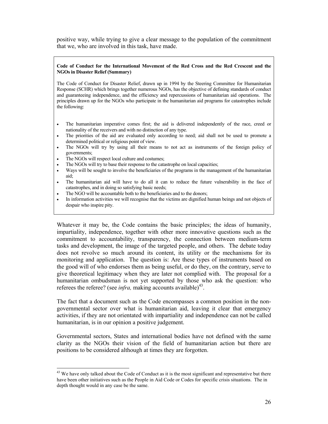positive way, while trying to give a clear message to the population of the commitment that we, who are involved in this task, have made.

#### **Code of Conduct for the International Movement of the Red Cross and the Red Crescent and the NGOs in Disaster Relief (Summary)**

The Code of Conduct for Disaster Relief, drawn up in 1994 by the Steering Committee for Humanitarian Response (SCHR) which brings together numerous NGOs, has the objective of defining standards of conduct and guaranteeing independence, and the efficiency and repercussions of humanitarian aid operations. The principles drawn up for the NGOs who participate in the humanitarian aid programs for catastrophes include the following:

- The humanitarian imperative comes first; the aid is delivered independently of the race, creed or nationality of the receivers and with no distinction of any type.
- The priorities of the aid are evaluated only according to need; aid shall not be used to promote a determined political or religious point of view.
- The NGOs will try by using all their means to not act as instruments of the foreign policy of governments;
- The NGOs will respect local culture and costumes;

 $\overline{a}$ 

- The NGOs will try to base their response to the catastrophe on local capacities;
- Ways will be sought to involve the beneficiaries of the programs in the management of the humanitarian aid;
- The humanitarian aid will have to do all it can to reduce the future vulnerability in the face of catastrophes, and in doing so satisfying basic needs;
- The NGO will be accountable both to the beneficiaries and to the donors;
- In information activities we will recognise that the victims are dignified human beings and not objects of despair who inspire pity.

Whatever it may be, the Code contains the basic principles; the ideas of humanity, impartiality, independence, together with other more innovative questions such as the commitment to accountability, transparency, the connection between medium-term tasks and development, the image of the targeted people, and others. The debate today does not revolve so much around its content, its utility or the mechanisms for its monitoring and application. The question is: Are these types of instruments based on the good will of who endorses them as being useful, or do they, on the contrary, serve to give theoretical legitimacy when they are later not complied with. The proposal for a humanitarian ombudsman is not yet supported by those who ask the question: who referees the referee? (see *infra*, making accounts available)<sup>43</sup>.

The fact that a document such as the Code encompasses a common position in the nongovernmental sector over what is humanitarian aid, leaving it clear that emergency activities, if they are not orientated with impartiality and independence can not be called humanitarian, is in our opinion a positive judgement.

Governmental sectors, States and international bodies have not defined with the same clarity as the NGOs their vision of the field of humanitarian action but there are positions to be considered although at times they are forgotten.

<sup>&</sup>lt;sup>43</sup> We have only talked about the Code of Conduct as it is the most significant and representative but there have been other initiatives such as the People in Aid Code or Codes for specific crisis situations. The in depth thought would in any case be the same.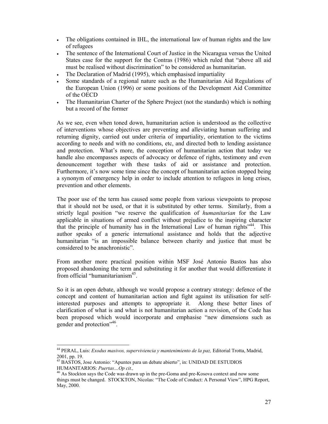- The obligations contained in IHL, the international law of human rights and the law of refugees
- The sentence of the International Court of Justice in the Nicaragua versus the United States case for the support for the Contras (1986) which ruled that "above all aid must be realised without discrimination" to be considered as humanitarian.
- The Declaration of Madrid (1995), which emphasised impartiality
- Some standards of a regional nature such as the Humanitarian Aid Regulations of the European Union (1996) or some positions of the Development Aid Committee of the OECD
- The Humanitarian Charter of the Sphere Project (not the standards) which is nothing but a record of the former

As we see, even when toned down, humanitarian action is understood as the collective of interventions whose objectives are preventing and alleviating human suffering and returning dignity, carried out under criteria of impartiality, orientation to the victims according to needs and with no conditions, etc, and directed both to lending assistance and protection. What's more, the conception of humanitarian action that today we handle also encompasses aspects of advocacy or defence of rights, testimony and even denouncement together with these tasks of aid or assistance and protection. Furthermore, it's now some time since the concept of humanitarian action stopped being a synonym of emergency help in order to include attention to refugees in long crises, prevention and other elements.

The poor use of the term has caused some people from various viewpoints to propose that it should not be used, or that it is substituted by other terms. Similarly, from a strictly legal position "we reserve the qualification of *humanitarian* for the Law applicable in situations of armed conflict without prejudice to the inspiring character that the principle of humanity has in the International Law of human rights<sup>744</sup>. This author speaks of a generic international assistance and holds that the adjective humanitarian "is an impossible balance between charity and justice that must be considered to be anachronistic".

From another more practical position within MSF José Antonio Bastos has also proposed abandoning the term and substituting it for another that would differentiate it from official "humanitarianism<sup>45</sup>.

So it is an open debate, although we would propose a contrary strategy: defence of the concept and content of humanitarian action and fight against its utilisation for selfinterested purposes and attempts to appropriate it. Along these better lines of clarification of what is and what is not humanitarian action a revision, of the Code has been proposed which would incorporate and emphasise "new dimensions such as gender and protection<sup>"46</sup>.

<sup>44</sup> PERAL, Luis: *Exodus masivos, superviviencia y mantenimiento de la paz,* Editorial Trotta, Madrid, 2001, pp. 19.

<sup>&</sup>lt;sup>45</sup> BASTOS, Jose Antonio: "Apuntes para un debate abierto", in: UNIDAD DE ESTUDIOS HUMANITARIOS: *Puertas...Op cit.*,

<sup>&</sup>lt;sup>46</sup> As Stockton says the Code was drawn up in the pre-Goma and pre-Kosova context and now some things must be changed. STOCKTON, Nicolas: "The Code of Conduct: A Personal View", HPG Report, May, 2000.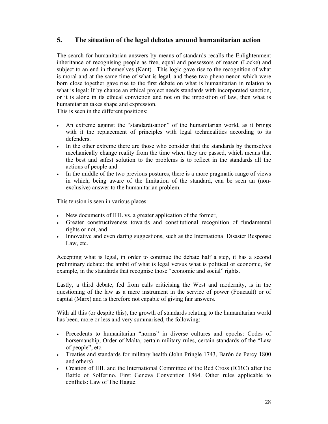### **5. The situation of the legal debates around humanitarian action**

The search for humanitarian answers by means of standards recalls the Enlightenment inheritance of recognising people as free, equal and possessors of reason (Locke) and subject to an end in themselves (Kant). This logic gave rise to the recognition of what is moral and at the same time of what is legal, and these two phenomenon which were born close together gave rise to the first debate on what is humanitarian in relation to what is legal: If by chance an ethical project needs standards with incorporated sanction, or it is alone in its ethical conviction and not on the imposition of law, then what is humanitarian takes shape and expression.

This is seen in the different positions:

- An extreme against the "standardisation" of the humanitarian world, as it brings with it the replacement of principles with legal technicalities according to its defenders.
- In the other extreme there are those who consider that the standards by themselves mechanically change reality from the time when they are passed, which means that the best and safest solution to the problems is to reflect in the standards all the actions of people and
- In the middle of the two previous postures, there is a more pragmatic range of views in which, being aware of the limitation of the standard, can be seen an (nonexclusive) answer to the humanitarian problem.

This tension is seen in various places:

- New documents of IHL vs. a greater application of the former,
- Greater constructiveness towards and constitutional recognition of fundamental rights or not, and
- Innovative and even daring suggestions, such as the International Disaster Response Law, etc.

Accepting what is legal, in order to continue the debate half a step, it has a second preliminary debate: the ambit of what is legal versus what is political or economic, for example, in the standards that recognise those "economic and social" rights.

Lastly, a third debate, fed from calls criticising the West and modernity, is in the questioning of the law as a mere instrument in the service of power (Foucault) or of capital (Marx) and is therefore not capable of giving fair answers.

With all this (or despite this), the growth of standards relating to the humanitarian world has been, more or less and very summarised, the following:

- Precedents to humanitarian "norms" in diverse cultures and epochs: Codes of horsemanship, Order of Malta, certain military rules, certain standards of the "Law of people", etc.
- Treaties and standards for military health (John Pringle 1743, Barón de Percy 1800 and others)
- Creation of IHL and the International Committee of the Red Cross (ICRC) after the Battle of Solferino. First Geneva Convention 1864. Other rules applicable to conflicts: Law of The Hague.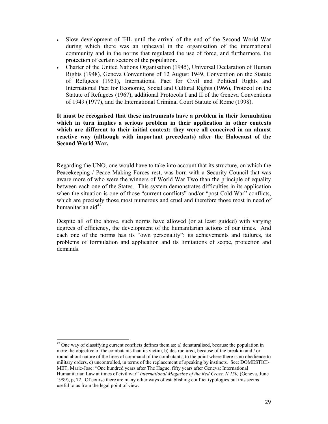- Slow development of IHL until the arrival of the end of the Second World War during which there was an upheaval in the organisation of the international community and in the norms that regulated the use of force, and furthermore, the protection of certain sectors of the population.
- Charter of the United Nations Organisation (1945), Universal Declaration of Human Rights (1948), Geneva Conventions of 12 August 1949, Convention on the Statute of Refugees (1951), International Pact for Civil and Political Rights and International Pact for Economic, Social and Cultural Rights (1966), Protocol on the Statute of Refugees (1967), additional Protocols I and II of the Geneva Conventions of 1949 (1977), and the International Criminal Court Statute of Rome (1998).

**It must be recognised that these instruments have a problem in their formulation which in turn implies a serious problem in their application in other contexts which are different to their initial context: they were all conceived in an almost reactive way (although with important precedents) after the Holocaust of the Second World War.** 

Regarding the UNO, one would have to take into account that its structure, on which the Peacekeeping / Peace Making Forces rest, was born with a Security Council that was aware more of who were the winners of World War Two than the principle of equality between each one of the States. This system demonstrates difficulties in its application when the situation is one of those "current conflicts" and/or "post Cold War" conflicts, which are precisely those most numerous and cruel and therefore those most in need of humanitarian aid $47$ .

Despite all of the above, such norms have allowed (or at least guided) with varying degrees of efficiency, the development of the humanitarian actions of our times. And each one of the norms has its "own personality": its achievements and failures, its problems of formulation and application and its limitations of scope, protection and demands.

 $47$  One way of classifying current conflicts defines them as: a) denaturalised, because the population in more the objective of the combatants than its victim, b) destructured, because of the break in and / or round about nature of the lines of command of the combatants, to the point where there is no obedience to military orders, c) uncontrolled, in terms of the replacement of speaking by instincts. See: DOMESTICI-MET, Marie-Jose: "One hundred years after The Hague, fifty years after Geneva: International Humanitarian Law at times of civil war" *International Magazine of the Red Cross, N 150,* (Geneva, June 1999), p, 72. Of course there are many other ways of establishing conflict typologies but this seems useful to us from the legal point of view.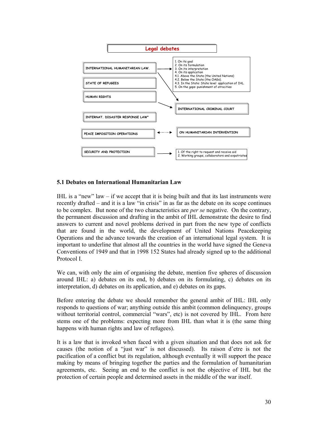

#### **5.1 Debates on International Humanitarian Law**

IHL is a "new" law  $-$  if we accept that it is being built and that its last instruments were recently drafted – and it is a law "in crisis" in as far as the debate on its scope continues to be complex. But none of the two characteristics are *per se* negative. On the contrary, the permanent discussion and drafting in the ambit of IHL demonstrate the desire to find answers to current and novel problems derived in part from the new type of conflicts that are found in the world, the development of United Nations Peacekeeping Operations and the advance towards the creation of an international legal system. It is important to underline that almost all the countries in the world have signed the Geneva Conventions of 1949 and that in 1998 152 States had already signed up to the additional Protocol I.

We can, with only the aim of organising the debate, mention five spheres of discussion around IHL: a) debates on its end, b) debates on its formulating, c) debates on its interpretation, d) debates on its application, and e) debates on its gaps.

Before entering the debate we should remember the general ambit of IHL: IHL only responds to questions of war; anything outside this ambit (common delinquency, groups without territorial control, commercial "wars", etc) is not covered by IHL. From here stems one of the problems: expecting more from IHL than what it is (the same thing happens with human rights and law of refugees).

It is a law that is invoked when faced with a given situation and that does not ask for causes (the notion of a "just war" is not discussed). Its raison d'etre is not the pacification of a conflict but its regulation, although eventually it will support the peace making by means of bringing together the parties and the formulation of humanitarian agreements, etc. Seeing an end to the conflict is not the objective of IHL but the protection of certain people and determined assets in the middle of the war itself.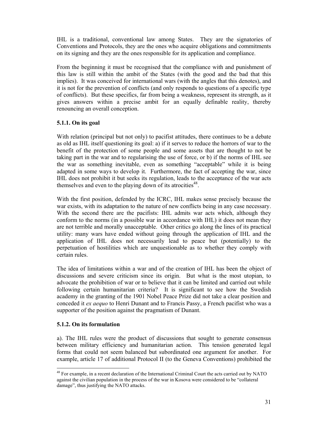IHL is a traditional, conventional law among States. They are the signatories of Conventions and Protocols, they are the ones who acquire obligations and commitments on its signing and they are the ones responsible for its application and compliance.

From the beginning it must be recognised that the compliance with and punishment of this law is still within the ambit of the States (with the good and the bad that this implies). It was conceived for international wars (with the angles that this denotes), and it is not for the prevention of conflicts (and only responds to questions of a specific type of conflicts). But these specifics, far from being a weakness, represent its strength, as it gives answers within a precise ambit for an equally definable reality, thereby renouncing an overall conception.

#### **5.1.1. On its goal**

With relation (principal but not only) to pacifist attitudes, there continues to be a debate as old as IHL itself questioning its goal: a) if it serves to reduce the horrors of war to the benefit of the protection of some people and some assets that are thought to not be taking part in the war and to regularising the use of force, or b) if the norms of IHL see the war as something inevitable, even as something "acceptable" while it is being adapted in some ways to develop it. Furthermore, the fact of accepting the war, since IHL does not prohibit it but seeks its regulation, leads to the acceptance of the war acts themselves and even to the playing down of its atrocities<sup>48</sup>.

With the first position, defended by the ICRC, IHL makes sense precisely because the war exists, with its adaptation to the nature of new conflicts being in any case necessary. With the second there are the pacifists: IHL admits war acts which, although they conform to the norms (in a possible war in accordance with IHL) it does not mean they are not terrible and morally unacceptable. Other critics go along the lines of its practical utility: many wars have ended without going through the application of IHL and the application of IHL does not necessarily lead to peace but (potentially) to the perpetuation of hostilities which are unquestionable as to whether they comply with certain rules.

The idea of limitations within a war and of the creation of IHL has been the object of discussions and severe criticism since its origin. But what is the most utopian, to advocate the prohibition of war or to believe that it can be limited and carried out while following certain humanitarian criteria? It is significant to see how the Swedish academy in the granting of the 1901 Nobel Peace Prize did not take a clear position and conceded it *ex aequo* to Henri Dunant and to Francis Passy, a French pacifist who was a supporter of the position against the pragmatism of Dunant.

#### **5.1.2. On its formulation**

a). The IHL rules were the product of discussions that sought to generate consensus between military efficiency and humanitarian action. This tension generated legal forms that could not seem balanced but subordinated one argument for another. For example, article 17 of additional Protocol II (to the Geneva Conventions) prohibited the

 $\overline{a}$ <sup>48</sup> For example, in a recent declaration of the International Criminal Court the acts carried out by NATO against the civilian population in the process of the war in Kosova were considered to be "collateral damage", thus justifying the NATO attacks.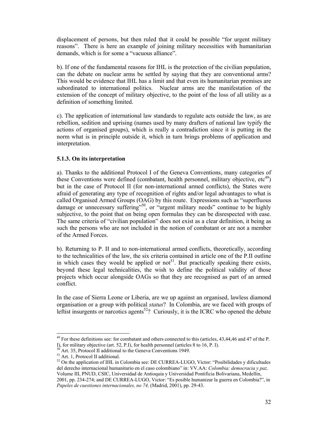displacement of persons, but then ruled that it could be possible "for urgent military reasons". There is here an example of joining military necessities with humanitarian demands, which is for some a "vacuous alliance".

b). If one of the fundamental reasons for IHL is the protection of the civilian population, can the debate on nuclear arms be settled by saying that they are conventional arms? This would be evidence that IHL has a limit and that even its humanitarian premises are subordinated to international politics. Nuclear arms are the manifestation of the extension of the concept of military objective, to the point of the loss of all utility as a definition of something limited.

c). The application of international law standards to regulate acts outside the law, as are rebellion, sedition and uprising (names used by many drafters of national law typify the actions of organised groups), which is really a contradiction since it is putting in the norm what is in principle outside it, which in turn brings problems of application and interpretation.

#### **5.1.3. On its interpretation**

a). Thanks to the additional Protocol I of the Geneva Conventions, many categories of these Conventions were defined (combatant, health personnel, military objective,  $etc<sup>49</sup>$ ) but in the case of Protocol II (for non-international armed conflicts), the States were afraid of generating any type of recognition of rights and/or legal advantages to what is called Organised Armed Groups (OAG) by this route. Expressions such as "superfluous damage or unnecessary suffering"<sup>50</sup>, or "urgent military needs" continue to be highly subjective, to the point that on being open formulas they can be disrespected with ease. The same criteria of "civilian population" does not exist as a clear definition, it being as such the persons who are not included in the notion of combatant or are not a member of the Armed Forces.

b). Returning to P. II and to non-international armed conflicts, theoretically, according to the technicalities of the law, the six criteria contained in article one of the P.II outline in which cases they would be applied or  $not<sup>51</sup>$ . But practically speaking there exists, beyond these legal technicalities, the wish to define the political validity of those projects which occur alongside OAGs so that they are recognised as part of an armed conflict.

In the case of Sierra Leone or Liberia, are we up against an organised, lawless diamond organisation or a group with political *status*? In Colombia, are we faced with groups of leftist insurgents or narcotics agents<sup>52</sup>? Curiously, it is the ICRC who opened the debate

<sup>&</sup>lt;sup>49</sup> For these definitions see: for combatant and others connected to this (articles, 43,44,46 and 47 of the P. I), for military objective (art. 52, P.I), for health personnel (articles 8 to 16, P. I).

Art. 35, Protocol II additional to the Geneva Conventions 1949.

 $^{51}$  Art. 1, Protocol II additional.

<sup>&</sup>lt;sup>52</sup> On the application of IHL in Colombia see: DE CURREA-LUGO, Victor: "Posibilidades y dificultades del derecho internacional humanitario en el caso colombiano" in: VV.AA: *Colombia: democracia y paz.* Volume III, PNUD, CSIC, Universidad de Antioquia y Universidad Pontificia Bolivariana, Medellin, 2001, pp. 234-274; and DE CURREA-LUGO, Victor: "Es posible humanizar la guerra en Colombia?", in *Papeles de cuestiones internacionales, no 74,* (Madrid, 2001), pp. 29-43.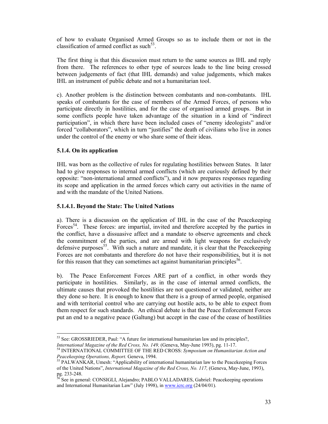of how to evaluate Organised Armed Groups so as to include them or not in the classification of armed conflict as such  $53$ .

The first thing is that this discussion must return to the same sources as IHL and reply from there. The references to other type of sources leads to the line being crossed between judgements of fact (that IHL demands) and value judgements, which makes IHL an instrument of public debate and not a humanitarian tool.

c). Another problem is the distinction between combatants and non-combatants. IHL speaks of combatants for the case of members of the Armed Forces, of persons who participate directly in hostilities, and for the case of organised armed groups. But in some conflicts people have taken advantage of the situation in a kind of "indirect participation", in which there have been included cases of "enemy ideologists" and/or forced "collaborators", which in turn "justifies" the death of civilians who live in zones under the control of the enemy or who share some of their ideas.

# **5.1.4. On its application**

IHL was born as the collective of rules for regulating hostilities between States. It later had to give responses to internal armed conflicts (which are curiously defined by their opposite: "non-international armed conflicts"), and it now prepares responses regarding its scope and application in the armed forces which carry out activities in the name of and with the mandate of the United Nations.

# **5.1.4.1. Beyond the State: The United Nations**

a). There is a discussion on the application of IHL in the case of the Peacekeeping Forces<sup>54</sup>. These forces: are impartial, invited and therefore accepted by the parties in the conflict, have a dissuasive affect and a mandate to observe agreements and check the commitment of the parties, and are armed with light weapons for exclusively defensive purposes<sup>55</sup>. With such a nature and mandate, it is clear that the Peacekeeping Forces are not combatants and therefore do not have their responsibilities, but it is not for this reason that they can sometimes act against humanitarian principles<sup>56</sup>.

b). The Peace Enforcement Forces ARE part of a conflict, in other words they participate in hostilities. Similarly, as in the case of internal armed conflicts, the ultimate causes that provoked the hostilities are not questioned or validated, neither are they done so here. It is enough to know that there is a group of armed people, organised and with territorial control who are carrying out hostile acts, to be able to expect from them respect for such standards. An ethical debate is that the Peace Enforcement Forces put an end to a negative peace (Galtung) but accept in the case of the cease of hostilities

 $\overline{a}$  $<sup>53</sup>$  See: GROSSRIEDER, Paul: "A future for international humanitarian law and its principles?,</sup>

*International Magazine of the Red Cross, No. 149, (Geneva, May-June 1993), pg. 11-17.*<br><sup>54</sup> INTERNATIONAL COMMITTEE OF THE RED CROSS: *Symposium on Humanitarian Action and Peacekeeping Operations, Report.* Geneva, 1994.

<sup>&</sup>lt;sup>55</sup> PALWANKAR, Umesh: "Applicability of international humanitarian law to the Peacekeeping Forces of the United Nations", *International Magazine of the Red Cross, No. 117,* (Geneva, May-June, 1993),  $pg. 233-248.$ 

<sup>56</sup> See in general: CONSIGLI, Alejandro; PABLO VALLADARES, Gabriel: Peacekeeping operations and International Humanitarian Law" (July 1998), in www.icrc.org (24/04/01).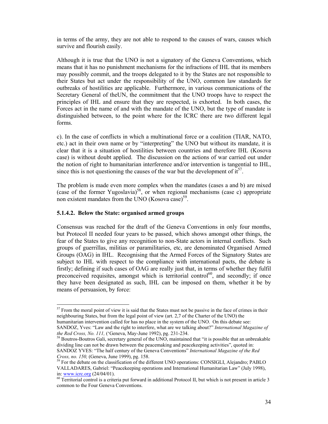in terms of the army, they are not able to respond to the causes of wars, causes which survive and flourish easily.

Although it is true that the UNO is not a signatory of the Geneva Conventions, which means that it has no punishment mechanisms for the infractions of IHL that its members may possibly commit, and the troops delegated to it by the States are not responsible to their States but act under the responsibility of the UNO, common law standards for outbreaks of hostilities are applicable. Furthermore, in various communications of the Secretary General of theUN, the commitment that the UNO troops have to respect the principles of IHL and ensure that they are respected, is exhorted. In both cases, the Forces act in the name of and with the mandate of the UNO, but the type of mandate is distinguished between, to the point where for the ICRC there are two different legal forms.

c). In the case of conflicts in which a multinational force or a coalition (TIAR, NATO, etc.) act in their own name or by "interpreting" the UNO but without its mandate, it is clear that it is a situation of hostilities between countries and therefore IHL (Kosova case) is without doubt applied. The discussion on the actions of war carried out under the notion of right to humanitarian interference and/or intervention is tangential to IHL, since this is not questioning the causes of the war but the development of  $it^{57}$ .

The problem is made even more complex when the mandates (cases a and b) are mixed (case of the former Yugoslavia)<sup>58</sup>, or when regional mechanisms (case c) appropriate non existent mandates from the UNO  $(Kosova case)^{59}$ .

### **5.1.4.2. Below the State: organised armed groups**

 $\overline{a}$ 

Consensus was reached for the draft of the Geneva Conventions in only four months, but Protocol II needed four years to be passed, which shows amongst other things, the fear of the States to give any recognition to non-State actors in internal conflicts. Such groups of guerrillas, militias or paramilitaries, etc, are denominated Organised Armed Groups (OAG) in IHL. Recognising that the Armed Forces of the Signatory States are subject to IHL with respect to the compliance with international pacts, the debate is firstly; defining if such cases of OAG are really just that, in terms of whether they fulfil preconceived requisites, amongst which is territorial control<sup>60</sup>, and secondly; if once they have been designated as such, IHL can be imposed on them, whether it be by means of persuasion, by force:

 $<sup>57</sup>$  From the moral point of view it is said that the States must not be passive in the face of crimes in their</sup> neighbouring States, but from the legal point of view (art. 2,7 of the Charter of the UNO) the humanitarian intervention called for has no place in the system of the UNO. On this debate see:

SANDOZ, Yves: "Law and the right to interfere, what are we talking about?" *International Magazine of* 

<sup>&</sup>lt;sup>58</sup> Boutros-Boutros Gali, secretary general of the UNO, maintained that "it is possible that an unbreakable dividing line can not be drawn between the peacemaking and peacekeeping activities", quoted in: SANDOZ YVES: "The half century of the Geneva Conventions" *International Magazine of the Red* 

<sup>&</sup>lt;sup>59</sup> For the debate on the classification of the different UNO operations: CONSIGLI, Alejandro; PABLO VALLADARES, Gabriel: "Peacekeeping operations and International Humanitarian Law" (July 1998), in: www.icrc.org (24/04/01).

 $60$  Territorial control is a criteria put forward in additional Protocol II, but which is not present in article 3 common to the Four Geneva Conventions.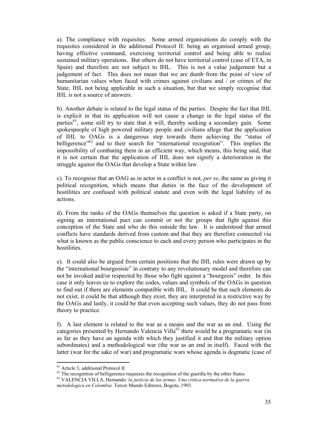a). The compliance with requisites. Some armed organisations do comply with the requisites considered in the additional Protocol II: being an organised armed group, having effective command, exercising territorial control and being able to realise sustained military operations. But others do not have territorial control (case of ETA, in Spain) and therefore are not subject to IHL. This is not a value judgement but a judgement of fact. This does not mean that we are dumb from the point of view of humanitarian values when faced with crimes against civilians and / or crimes of the State, IHL not being applicable in such a situation, but that we simply recognise that IHL is not a source of answers.

b). Another debate is related to the legal status of the parties. Despite the fact that IHL is explicit in that its application will not cause a change in the legal status of the parties<sup>61</sup>, some still try to state that it will, thereby seeking a secondary gain. Some spokespeople of high powered military people and civilians allege that the application of IHL to OAGs is a dangerous step towards them achieving the "status of belligerence<sup>"62</sup> and to their search for "international recognition". This implies the impossibility of combating them in an efficient way, which means, this being said, that it is not certain that the application of IHL does not signify a deterioration in the struggle against the OAGs that develop a State within law.

c). To recognise that an OAG as in actor in a conflict is not, *per se*, the same as giving it political recognition, which means that duties in the face of the development of hostilities are confused with political statute and even with the legal liability of its actions.

d). From the ranks of the OAGs themselves the question is asked if a State party, on signing an international pact can commit or not the groups that fight against this conception of the State and who do this outside the law. It is understood that armed conflicts have standards derived from custom and that they are therefore connected via what is known as the public conscience to each and every person who participates in the hostilities.

e). It could also be argued from certain positions that the IHL rules were drawn up by the "international bourgeoisie" in contrary to any revolutionary model and therefore can not be invoked and/or respected by those who fight against a "bourgeois" order. In this case it only leaves us to explore the codes, values and symbols of the OAGs in question to find out if there are elements compatible with IHL. It could be that such elements do not exist, it could be that although they exist, they are interpreted in a restrictive way by the OAGs and lastly, it could be that even accepting such values, they do not pass from theory to practice.

f). A last element is related to the war as a means and the war as an end. Using the categories presented by Hernando Valencia Villa<sup>63</sup> there would be a programatic war (in as far as they have an agenda with which they justified it and that the military option subordinates) and a methodological war (the war as an end in itself). Faced with the latter (war for the sake of war) and programatic wars whose agenda is dogmatic (case of

<sup>61</sup> Article 3, additional Protocol II

 $62$  The recognition of belligerence requieres the recognition of the guerilla by the other States

<sup>63</sup> VALENCIA VILLA, Hernando: *la justicia de las armas. Una critica normativa de la guerra metodologica en Colombia.* Tercer Mundo Editores, Bogota, 1993.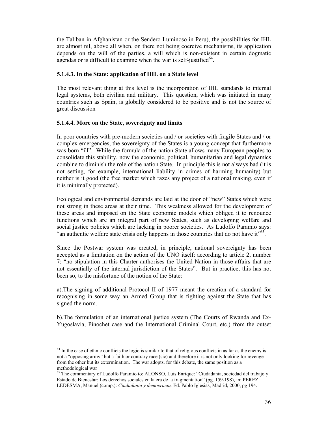the Taliban in Afghanistan or the Sendero Luminoso in Peru), the possibilities for IHL are almost nil, above all when, on there not being coercive mechanisms, its application depends on the will of the parties, a will which is non-existent in certain dogmatic agendas or is difficult to examine when the war is self-justified $^{64}$ .

## **5.1.4.3. In the State: application of IHL on a State level**

The most relevant thing at this level is the incorporation of IHL standards to internal legal systems, both civilian and military. This question, which was initiated in many countries such as Spain, is globally considered to be positive and is not the source of great discussion

## **5.1.4.4. More on the State, sovereignty and limits**

 $\overline{a}$ 

In poor countries with pre-modern societies and / or societies with fragile States and / or complex emergencies, the sovereignty of the States is a young concept that furthermore was born "ill". While the formula of the nation State allows many European peoples to consolidate this stability, now the economic, political, humanitarian and legal dynamics combine to diminish the role of the nation State. In principle this is not always bad (it is not setting, for example, international liability in crimes of harming humanity) but neither is it good (the free market which razes any project of a national making, even if it is minimally protected).

Ecological and environmental demands are laid at the door of "new" States which were not strong in these areas at their time. This weakness allowed for the development of these areas and imposed on the State economic models which obliged it to renounce functions which are an integral part of new States, such as developing welfare and social justice policies which are lacking in poorer societies. As Ludolfo Paramio says: "an authentic welfare state crisis only happens in those countries that do not have it"<sup>65</sup>.

Since the Postwar system was created, in principle, national sovereignty has been accepted as a limitation on the action of the UNO itself: according to article 2, number 7: "no stipulation in this Charter authorises the United Nation in those affairs that are not essentially of the internal jurisdiction of the States". But in practice, this has not been so, to the misfortune of the notion of the State:

a).The signing of additional Protocol II of 1977 meant the creation of a standard for recognising in some way an Armed Group that is fighting against the State that has signed the norm.

b).The formulation of an international justice system (The Courts of Rwanda and Ex-Yugoslavia, Pinochet case and the International Criminal Court, etc.) from the outset

 $64$  In the case of ethnic conflicts the logic is similar to that of religious conflicts in as far as the enemy is not a "opposing army" but a faith or contrary race (sic) and therefore it is not only looking for revenge from the other but its extermination. The war adopts, for this debate, the same position as a methodological war

<sup>65</sup> The commentary of Ludolfo Paramio to: ALONSO, Luis Enrique: "Ciudadania, sociedad del trabajo y Estado de Bienestar: Los derechos sociales en la era de la fragmentation" (pg. 159-198), in: PEREZ LEDESMA, Manuel (comp.): *Ciudadania y democracia,* Ed. Pablo Iglesias, Madrid, 2000, pg 194.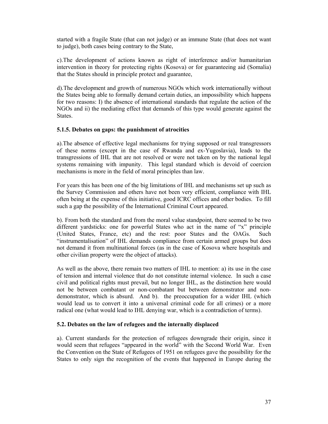started with a fragile State (that can not judge) or an immune State (that does not want to judge), both cases being contrary to the State,

c).The development of actions known as right of interference and/or humanitarian intervention in theory for protecting rights (Kosova) or for guaranteeing aid (Somalia) that the States should in principle protect and guarantee,

d).The development and growth of numerous NGOs which work internationally without the States being able to formally demand certain duties, an impossibility which happens for two reasons: I) the absence of international standards that regulate the action of the NGOs and ii) the mediating effect that demands of this type would generate against the States.

## **5.1.5. Debates on gaps: the punishment of atrocities**

a).The absence of effective legal mechanisms for trying supposed or real transgressors of these norms (except in the case of Rwanda and ex-Yugoslavia), leads to the transgressions of IHL that are not resolved or were not taken on by the national legal systems remaining with impunity. This legal standard which is devoid of coercion mechanisms is more in the field of moral principles than law.

For years this has been one of the big limitations of IHL and mechanisms set up such as the Survey Commission and others have not been very efficient, compliance with IHL often being at the expense of this initiative, good ICRC offices and other bodies. To fill such a gap the possibility of the International Criminal Court appeared.

b). From both the standard and from the moral value standpoint, there seemed to be two different yardsticks: one for powerful States who act in the name of "x" principle (United States, France, etc) and the rest: poor States and the OAGs. Such "instrumentalisation" of IHL demands compliance from certain armed groups but does not demand it from multinational forces (as in the case of Kosova where hospitals and other civilian property were the object of attacks).

As well as the above, there remain two matters of IHL to mention: a) its use in the case of tension and internal violence that do not constitute internal violence. In such a case civil and political rights must prevail, but no longer IHL, as the distinction here would not be between combatant or non-combatant but between demonstrator and nondemonstrator, which is absurd. And b). the preoccupation for a wider IHL (which would lead us to convert it into a universal criminal code for all crimes) or a more radical one (what would lead to IHL denying war, which is a contradiction of terms).

# **5.2. Debates on the law of refugees and the internally displaced**

a). Current standards for the protection of refugees downgrade their origin, since it would seem that refugees "appeared in the world" with the Second World War. Even the Convention on the State of Refugees of 1951 on refugees gave the possibility for the States to only sign the recognition of the events that happened in Europe during the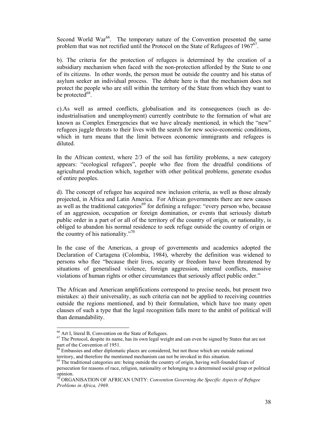Second World War<sup>66</sup>. The temporary nature of the Convention presented the same problem that was not rectified until the Protocol on the State of Refugees of  $1967^{67}$ .

b). The criteria for the protection of refugees is determined by the creation of a subsidiary mechanism when faced with the non-protection afforded by the State to one of its citizens. In other words, the person must be outside the country and his status of asylum seeker an individual process. The debate here is that the mechanism does not protect the people who are still within the territory of the State from which they want to be protected $^{68}$ .

c).As well as armed conflicts, globalisation and its consequences (such as deindustrialisation and unemployment) currently contribute to the formation of what are known as Complex Emergencies that we have already mentioned, in which the "new" refugees juggle threats to their lives with the search for new socio-economic conditions, which in turn means that the limit between economic immigrants and refugees is diluted.

In the African context, where 2/3 of the soil has fertility problems, a new category appears: "ecological refugees", people who flee from the dreadful conditions of agricultural production which, together with other political problems, generate exodus of entire peoples.

d). The concept of refugee has acquired new inclusion criteria, as well as those already projected, in Africa and Latin America. For African governments there are new causes as well as the traditional categories<sup>69</sup> for defining a refugee: "every person who, because of an aggression, occupation or foreign domination, or events that seriously disturb public order in a part of or all of the territory of the country of origin, or nationality, is obliged to abandon his normal residence to seek refuge outside the country of origin or the country of his nationality."<sup>70</sup>

In the case of the Americas, a group of governments and academics adopted the Declaration of Cartagena (Colombia, 1984), whereby the definition was widened to persons who flee "because their lives, security or freedom have been threatened by situations of generalised violence, foreign aggression, internal conflicts, massive violations of human rights or other circumstances that seriously affect public order."

The African and American amplifications correspond to precise needs, but present two mistakes: a) their universality, as such criteria can not be applied to receiving countries outside the regions mentioned, and b) their formulation, which have too many open clauses of such a type that the legal recognition falls more to the ambit of political will than demandability.

<sup>66</sup> Art I, literal B, Convention on the State of Refugees.

 $67$  The Protocol, despite its name, has its own legal weight and can even be signed by States that are not part of the Convention of 1951.

<sup>&</sup>lt;sup>68</sup> Embassies and other diplomatic places are considered, but not those which are outside national territory, and therefore the mentioned mechanism can not be invoked in this situation.

 $69$  The traditional categories are: being outside the country of origin, having well-founded fears of persecution for reasons of race, religion, nationality or belonging to a determined social group or political opinion.

<sup>70</sup> ORGANISATION OF AFRICAN UNITY: *Convention Governing the Specific Aspects of Refugee Problems in Africa, 1969.*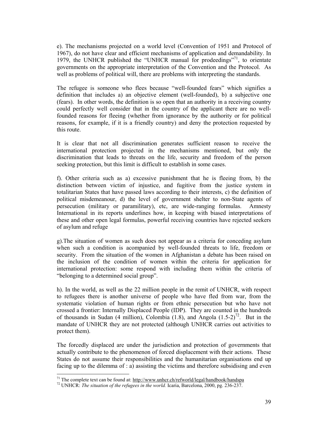e). The mechanisms projected on a world level (Convention of 1951 and Protocol of 1967), do not have clear and efficient mechanisms of application and demandability. In 1979, the UNHCR published the "UNHCR manual for prodeedings"<sup>71</sup>, to orientate governments on the appropriate interpretation of the Convention and the Protocol. As well as problems of political will, there are problems with interpreting the standards.

The refugee is someone who flees because "well-founded fears" which signifies a definition that includes a) an objective element (well-founded), b) a subjective one (fears). In other words, the definition is so open that an authority in a receiving country could perfectly well consider that in the country of the applicant there are no wellfounded reasons for fleeing (whether from ignorance by the authority or for political reasons, for example, if it is a friendly country) and deny the protection requested by this route.

It is clear that not all discrimination generates sufficient reason to receive the international protection projected in the mechanisms mentioned, but only the discrimination that leads to threats on the life, security and freedom of the person seeking protection, but this limit is difficult to establish in some cases.

f). Other criteria such as a) excessive punishment that he is fleeing from, b) the distinction between victim of injustice, and fugitive from the justice system in totalitarian States that have passed laws according to their interests, c) the definition of political misdemeanour, d) the level of government shelter to non-State agents of persecution (military or paramilitary), etc, are wide-ranging formulas. Amnesty International in its reports underlines how, in keeping with biased interpretations of these and other open legal formulas, powerful receiving countries have rejected seekers of asylum and refuge

g).The situation of women as such does not appear as a criteria for conceding asylum when such a condition is acompanied by well-founded threats to life, freedom or security. From the situation of the women in Afghanistan a debate has been raised on the inclusion of the condition of women within the criteria for application for international protection: some respond with including them within the criteria of "belonging to a determined social group".

h). In the world, as well as the 22 million people in the remit of UNHCR, with respect to refugees there is another universe of people who have fled from war, from the systematic violation of human rights or from ethnic persecution but who have not crossed a frontier: Internally Displaced People (IDP). They are counted in the hundreds of thousands in Sudan (4 million), Colombia (1.8), and Angola  $(1.5-2)^{72}$ . But in the mandate of UNHCR they are not protected (although UNHCR carries out activities to protect them).

The forcedly displaced are under the jurisdiction and protection of governments that actually contribute to the phenomenon of forced displacement with their actions. These States do not assume their responsibilities and the humanitarian organisations end up facing up to the dilemma of : a) assisting the victims and therefore subsidising and even

<sup>&</sup>lt;sup>71</sup> The complete text can be found at:  $\frac{http://www.unhcr.ch/refworld/legal/handbook/handspa}{}$ 

<sup>72</sup> UNHCR: *The situation of the refugees in the world.* Icaria, Barcelona, 2000, pg. 236-237.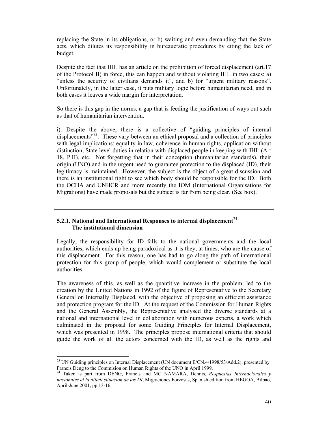replacing the State in its obligations, or b) waiting and even demanding that the State acts, which dilutes its responsibility in bureaucratic procedures by citing the lack of budget.

Despite the fact that IHL has an article on the prohibition of forced displacement (art.17 of the Protocol II) in force, this can happen and without violating IHL in two cases: a) "unless the security of civilians demands it", and b) for "urgent military reasons". Unfortunately, in the latter case, it puts military logic before humanitarian need, and in both cases it leaves a wide margin for interpretation.

So there is this gap in the norms, a gap that is feeding the justification of ways out such as that of humanitarian intervention.

i). Despite the above, there is a collective of "guiding principles of internal displacements $173$ . These vary between an ethical proposal and a collection of principles with legal implications: equality in law, coherence in human rights, application without distinction, State level duties in relation with displaced people in keeping with IHL (Art 18, P.II), etc. Not forgetting that in their conception (humanitarian standards), their origin (UNO) and in the urgent need to guarantee protection to the displaced (ID), their legitimacy is maintained. However, the subject is the object of a great discussion and there is an institutional fight to see which body should be responsible for the ID. Both the OCHA and UNHCR and more recently the IOM (International Organisations for Migrations) have made proposals but the subject is far from being clear. (See box).

# **5.2.1. National and International Responses to internal displacement**<sup>74</sup>  **The institutional dimension**

Legally, the responsibility for ID falls to the national governments and the local authorities, which ends up being paradoxical as it is they, at times, who are the cause of this displacement. For this reason, one has had to go along the path of international protection for this group of people, which would complement or substitute the local authorities.

The awareness of this, as well as the quantitive increase in the problem, led to the creation by the United Nations in 1992 of the figure of Representative to the Secretary General on Internally Displaced, with the objective of proposing an efficient assistance and protection program for the ID. At the request of the Commission for Human Rights and the General Assembly, the Representative analysed the diverse standards at a national and international level in collaboration with numerous experts, a work which culminated in the proposal for some Guiding Principles for Internal Displacement, which was presented in 1998. The principles propose international criteria that should guide the work of all the actors concerned with the ID, as well as the rights and

 $\overline{a}$ <sup>73</sup> UN Guiding principles on Internal Displacement (UN document E/CN.4/1998/53/Add.2), presented by Francis Deng to the Commision on Human Rights of the UNO in April 1999.<br><sup>74</sup> Taken is part from DENG, Francis and MC NAMARA, Dennis, *Respuestas Internacionales y* 

*nacionales al la difícil situación de los DI*, Migraciones Forzosas, Spanish edition from HEGOA, Bilbao, April-June 2001, pp.13-16.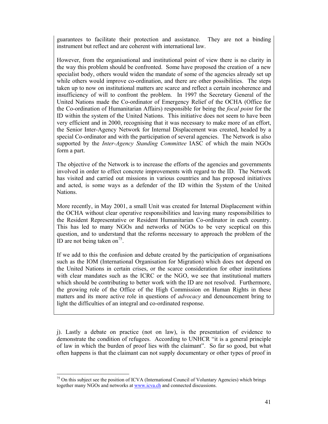guarantees to facilitate their protection and assistance. They are not a binding instrument but reflect and are coherent with international law.

However, from the organisational and institutional point of view there is no clarity in the way this problem should be confronted. Some have proposed the creation of a new specialist body, others would widen the mandate of some of the agencies already set up while others would improve co-ordination, and there are other possibilities. The steps taken up to now on institutional matters are scarce and reflect a certain incoherence and insufficiency of will to confront the problem. In 1997 the Secretary General of the United Nations made the Co-ordinator of Emergency Relief of the OCHA (Office for the Co-ordination of Humanitarian Affairs) responsible for being the *focal point* for the ID within the system of the United Nations. This initiative does not seem to have been very efficient and in 2000, recognising that it was necessary to make more of an effort, the Senior Inter-Agency Network for Internal Displacement was created, headed by a special Co-ordinator and with the participation of several agencies. The Network is also supported by the *Inter-Agency Standing Committee* IASC of which the main NGOs form a part.

The objective of the Network is to increase the efforts of the agencies and governments involved in order to effect concrete improvements with regard to the ID. The Network has visited and carried out missions in various countries and has proposed initiatives and acted, is some ways as a defender of the ID within the System of the United Nations.

More recently, in May 2001, a small Unit was created for Internal Displacement within the OCHA without clear operative responsibilities and leaving many responsibilities to the Resident Representative or Resident Humanitarian Co-ordinator in each country. This has led to many NGOs and networks of NGOs to be very sceptical on this question, and to understand that the reforms necessary to approach the problem of the ID are not being taken on<sup>75</sup>.

If we add to this the confusion and debate created by the participation of organisations such as the IOM (International Organisation for Migration) which does not depend on the United Nations in certain crises, or the scarce consideration for other institutions with clear mandates such as the ICRC or the NGO, we see that institutional matters which should be contributing to better work with the ID are not resolved. Furthermore, the growing role of the Office of the High Commission on Human Rights in these matters and its more active role in questions of *advocacy* and denouncement bring to light the difficulties of an integral and co-ordinated response.

j). Lastly a debate on practice (not on law), is the presentation of evidence to demonstrate the condition of refugees. According to UNHCR "it is a general principle of law in which the burden of proof lies with the claimant". So far so good, but what often happens is that the claimant can not supply documentary or other types of proof in

<sup>&</sup>lt;sup>75</sup> On this subject see the position of ICVA (International Council of Voluntary Agencies) which brings together many NGOs and networks at www.icva.ch and connected discussions.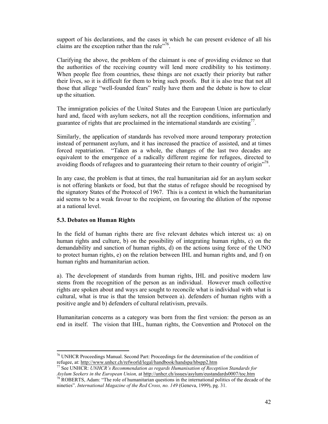support of his declarations, and the cases in which he can present evidence of all his claims are the exception rather than the rule"<sup>76</sup>.

Clarifying the above, the problem of the claimant is one of providing evidence so that the authorities of the receiving country will lend more credibility to his testimony. When people flee from countries, these things are not exactly their priority but rather their lives, so it is difficult for them to bring such proofs. But it is also true that not all those that allege "well-founded fears" really have them and the debate is how to clear up the situation.

The immigration policies of the United States and the European Union are particularly hard and, faced with asylum seekers, not all the reception conditions, information and guarantee of rights that are proclaimed in the international standards are existing<sup> $77$ </sup>.

Similarly, the application of standards has revolved more around temporary protection instead of permanent asylum, and it has increased the practice of assisted, and at times forced repatriation. "Taken as a whole, the changes of the last two decades are equivalent to the emergence of a radically different regime for refugees, directed to avoiding floods of refugees and to guaranteeing their return to their country of origin"<sup>78</sup>.

In any case, the problem is that at times, the real humanitarian aid for an asylum seeker is not offering blankets or food, but that the status of refugee should be recognised by the signatory States of the Protocol of 1967. This is a context in which the humanitarian aid seems to be a weak favour to the recipient, on favouring the dilution of the reponse at a national level.

### **5.3. Debates on Human Rights**

 $\overline{a}$ 

In the field of human rights there are five relevant debates which interest us: a) on human rights and culture, b) on the possibility of integrating human rights, c) on the demandability and sanction of human rights, d) on the actions using force of the UNO to protect human rights, e) on the relation between IHL and human rights and, and f) on human rights and humanitarian action.

a). The development of standards from human rights, IHL and positive modern law stems from the recognition of the person as an individual. However much collective rights are spoken about and ways are sought to reconcile what is individual with what is cultural, what is true is that the tension between a). defenders of human rights with a positive angle and b) defenders of cultural relativism, prevails.

Humanitarian concerns as a category was born from the first version: the person as an end in itself. The vision that IHL, human rights, the Convention and Protocol on the

<sup>76</sup> UNHCR Proceedings Manual. Second Part: Proceedings for the determination of the condition of

refugee, at: http://www.unhcr.ch/refworld/legal/handbook/handspa/hbspp2.htm<br><sup>77</sup> See UNHCR: *UNHCR's Recommendation as regards Humanisation of Receptiion Standards for*<br>*Asylum Seekers in the European Union,* at <u>http://un</u>

<sup>&</sup>lt;sup>78</sup> ROBERTS, Adam: "The role of humanitarian questions in the international politics of the decade of the nineties". *International Magazine of the Red Cross, no. 149* (Geneva, 1999), pg. 31.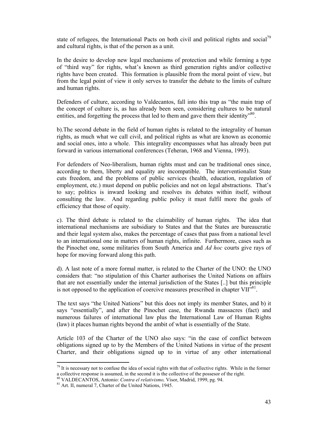state of refugees, the International Pacts on both civil and political rights and social<sup>79</sup> and cultural rights, is that of the person as a unit.

In the desire to develop new legal mechanisms of protection and while forming a type of "third way" for rights, what's known as third generation rights and/or collective rights have been created. This formation is plausible from the moral point of view, but from the legal point of view it only serves to transfer the debate to the limits of culture and human rights.

Defenders of culture, according to Valdecantos, fall into this trap as "the main trap of the concept of culture is, as has already been seen, considering cultures to be natural entities, and forgetting the process that led to them and gave them their identity<sup>580</sup>.

b).The second debate in the field of human rights is related to the integrality of human rights, as much what we call civil, and political rights as what are known as economic and social ones, into a whole. This integrality encompasses what has already been put forward in various international conferences (Teheran, 1968 and Vienna, 1993).

For defenders of Neo-liberalism, human rights must and can be traditional ones since, according to them, liberty and equality are incompatible. The interventionalist State cuts freedom, and the problems of public services (health, education, regulation of employment, etc.) must depend on public policies and not on legal abstractions. That's to say; politics is inward looking and resolves its debates within itself, without consulting the law. And regarding public policy it must fulfil more the goals of efficiency that those of equity.

c). The third debate is related to the claimability of human rights. The idea that international mechanisms are subsidiary to States and that the States are bureaucratic and their legal system also, makes the percentage of cases that pass from a national level to an international one in matters of human rights, infinite. Furthermore, cases such as the Pinochet one, some militaries from South America and *Ad hoc* courts give rays of hope for moving forward along this path.

d). A last note of a more formal matter, is related to the Charter of the UNO: the UNO considers that: "no stipulation of this Charter authorises the United Nations on affairs that are not essentially under the internal jurisdiction of the States [..] but this principle is not opposed to the application of coercive measures prescribed in chapter  $VII^{\frac{381}{18}}$ .

The text says "the United Nations" but this does not imply its member States, and b) it says "essentially", and after the Pinochet case, the Rwanda massacres (fact) and numerous failures of international law plus the International Law of Human Rights (law) it places human rights beyond the ambit of what is essentially of the State.

Article 103 of the Charter of the UNO also says: "in the case of conflict between obligations signed up to by the Members of the United Nations in virtue of the present Charter, and their obligations signed up to in virtue of any other international

 $79$  It is necessary not to confuse the idea of social rights with that of collective rights. While in the former a collective response is assumed, in the second it is the collective of the possesor of the right.<br><sup>80</sup> VALDECANTOS, Antonio: *Contra el relativismo*, Visor, Madrid, 1999, pg. 94.<br><sup>81</sup> Art. II, numeral 7, Charter of the Un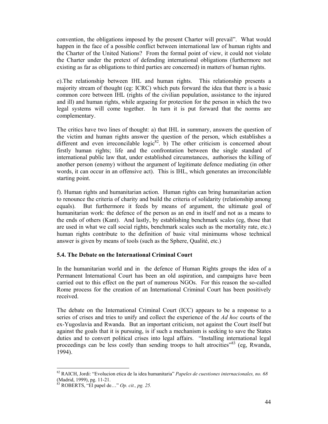convention, the obligations imposed by the present Charter will prevail". What would happen in the face of a possible conflict between international law of human rights and the Charter of the United Nations? From the formal point of view, it could not violate the Charter under the pretext of defending international obligations (furthermore not existing as far as obligations to third parties are concerned) in matters of human rights.

e).The relationship between IHL and human rights. This relationship presents a majority stream of thought (eg: ICRC) which puts forward the idea that there is a basic common core between IHL (rights of the civilian population, assistance to the injured and ill) and human rights, while argueing for protection for the person in which the two legal systems will come together. In turn it is put forward that the norms are complementary.

The critics have two lines of thought: a) that IHL in summary, answers the question of the victim and human rights answer the question of the person, which establishes a different and even irreconcilable logic<sup>82</sup>. b) The other criticism is concerned about firstly human rights; life and the confrontation between the single standard of international public law that, under established circumstances, authorises the killing of another person (enemy) without the argument of legitimate defence mediating (in other words, it can occur in an offensive act). This is IHL, which generates an irreconcilable starting point.

f). Human rights and humanitarian action. Human rights can bring humanitarian action to renounce the criteria of charity and build the criteria of solidarity (relationship among equals). But furthermore it feeds by means of argument, the ultimate goal of humanitarian work: the defence of the person as an end in itself and not as a means to the ends of others (Kant). And lastly, by establishing benchmark scales (eg, those that are used in what we call social rights, benchmark scales such as the mortality rate, etc.) human rights contribute to the definition of basic vital minimums whose technical answer is given by means of tools (such as the Sphere, Qualité, etc.)

# **5.4. The Debate on the International Criminal Court**

In the humanitarian world and in the defence of Human Rights groups the idea of a Permanent International Court has been an old aspiration, and campaigns have been carried out to this effect on the part of numerous NGOs. For this reason the so-called Rome process for the creation of an International Criminal Court has been positively received.

The debate on the International Criminal Court (ICC) appears to be a response to a series of crises and tries to unify and collect the experience of the *Ad hoc* courts of the ex-Yugoslavia and Rwanda. But an important criticism, not against the Court itself but against the goals that it is pursuing, is if such a mechanism is seeking to save the States duties and to convert political crises into legal affairs. "Installing international legal proceedings can be less costly than sending troops to halt atrocities<sup>383</sup> (eg, Rwanda, 1994).

<sup>82</sup> RAICH, Jordi: "Evolucion etica de la idea humanitaria" *Papeles de cuestiones internacionales, no. 68*  (Madrid, 1999), pg. 11-21.

<sup>83</sup> ROBERTS, "El papel de…" *Op. cit., pg. 25.*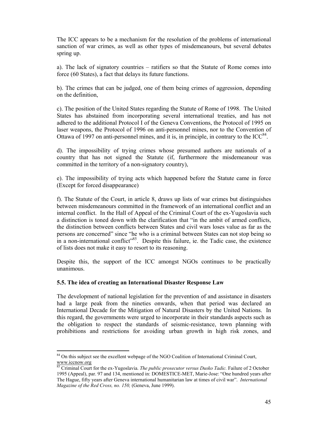The ICC appears to be a mechanism for the resolution of the problems of international sanction of war crimes, as well as other types of misdemeanours, but several debates spring up.

a). The lack of signatory countries – ratifiers so that the Statute of Rome comes into force (60 States), a fact that delays its future functions.

b). The crimes that can be judged, one of them being crimes of aggression, depending on the definition,

c). The position of the United States regarding the Statute of Rome of 1998. The United States has abstained from incorporating several international treaties, and has not adhered to the additional Protocol I of the Geneva Conventions, the Protocol of 1995 on laser weapons, the Protocol of 1996 on anti-personnel mines, nor to the Convention of Ottawa of 1997 on anti-personnel mines, and it is, in principle, in contrary to the  $IC^{84}$ .

d). The impossibility of trying crimes whose presumed authors are nationals of a country that has not signed the Statute (if, furthermore the misdemeanour was committed in the territory of a non-signatory country),

e). The impossibility of trying acts which happened before the Statute came in force (Except for forced disappearance)

f). The Statute of the Court, in article 8, draws up lists of war crimes but distinguishes between misdemeanours committed in the framework of an international conflict and an internal conflict. In the Hall of Appeal of the Criminal Court of the ex-Yugoslavia such a distinction is toned down with the clarification that "in the ambit of armed conflicts, the distinction between conflicts between States and civil wars loses value as far as the persons are concerned" since "he who is a criminal between States can not stop being so in a non-international conflict<sup> $35$ </sup>. Despite this failure, ie. the Tadic case, the existence of lists does not make it easy to resort to its reasoning.

Despite this, the support of the ICC amongst NGOs continues to be practically unanimous.

### **5.5. The idea of creating an International Disaster Response Law**

 $\overline{a}$ 

The development of national legislation for the prevention of and assistance in disasters had a large peak from the nineties onwards, when that period was declared an International Decade for the Mitigation of Natural Disasters by the United Nations. In this regard, the governments were urged to incorporate in their standards aspects such as the obligation to respect the standards of seismic-resistance, town planning with prohibitions and restrictions for avoiding urban growth in high risk zones, and

<sup>&</sup>lt;sup>84</sup> On this subject see the excellent webpage of the NGO Coalition of International Criminal Court,  $\frac{www.icenow.org}{85 \text{ C}}$ 

<sup>85</sup> Criminal Court for the ex-Yugoslavia. *The public prosecutor versus Dusko Tadic.* Failure of 2 October 1995 (Appeal), par. 97 and 134, mentioned in: DOMESTICE-MET, Marie-Jose: "One hundred years after The Hague, fifty years after Geneva international humanitarian law at times of civil war". *International Magazine of the Red Cross, no. 150,* (Geneva, June 1999).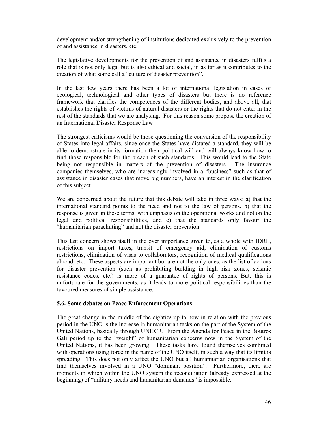development and/or strengthening of institutions dedicated exclusively to the prevention of and assistance in disasters, etc.

The legislative developments for the prevention of and assistance in disasters fulfils a role that is not only legal but is also ethical and social, in as far as it contributes to the creation of what some call a "culture of disaster prevention".

In the last few years there has been a lot of international legislation in cases of ecological, technological and other types of disasters but there is no reference framework that clarifies the competences of the different bodies, and above all, that establishes the rights of victims of natural disasters or the rights that do not enter in the rest of the standards that we are analysing. For this reason some propose the creation of an International Disaster Response Law

The strongest criticisms would be those questioning the conversion of the responsibility of States into legal affairs, since once the States have dictated a standard, they will be able to demonstrate in its formation their political will and will always know how to find those responsible for the breach of such standards. This would lead to the State being not responsible in matters of the prevention of disasters. The insurance companies themselves, who are increasingly involved in a "business" such as that of assistance in disaster cases that move big numbers, have an interest in the clarification of this subject.

We are concerned about the future that this debate will take in three ways: a) that the international standard points to the need and not to the law of persons, b) that the response is given in these terms, with emphasis on the operational works and not on the legal and political responsibilities, and c) that the standards only favour the "humanitarian parachuting" and not the disaster prevention.

This last concern shows itself in the over importance given to, as a whole with IDRL, restrictions on import taxes, transit of emergency aid, elimination of customs restrictions, elimination of visas to collaborators, recognition of medical qualifications abroad, etc. These aspects are important but are not the only ones, as the list of actions for disaster prevention (such as prohibiting building in high risk zones, seismic resistance codes, etc.) is more of a guarantee of rights of persons. But, this is unfortunate for the governments, as it leads to more political responsibilities than the favoured measures of simple assistance.

### **5.6. Some debates on Peace Enforcement Operations**

The great change in the middle of the eighties up to now in relation with the previous period in the UNO is the increase in humanitarian tasks on the part of the System of the United Nations, basically through UNHCR. From the Agenda for Peace in the Boutros Gali period up to the "weight" of humanitarian concerns now in the System of the United Nations, it has been growing. These tasks have found themselves combined with operations using force in the name of the UNO itself, in such a way that its limit is spreading. This does not only affect the UNO but all humanitarian organisations that find themselves involved in a UNO "dominant position". Furthermore, there are moments in which within the UNO system the reconciliation (already expressed at the beginning) of "military needs and humanitarian demands" is impossible.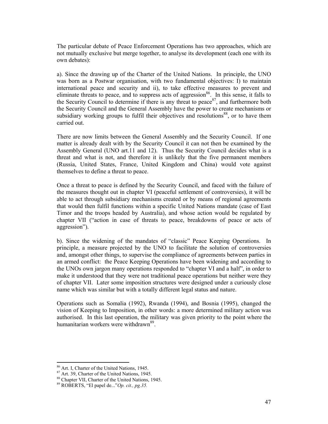The particular debate of Peace Enforcement Operations has two approaches, which are not mutually exclusive but merge together, to analyse its development (each one with its own debates):

a). Since the drawing up of the Charter of the United Nations. In principle, the UNO was born as a Postwar organisation, with two fundamental objectives: I) to maintain international peace and security and ii), to take effective measures to prevent and eliminate threats to peace, and to suppress acts of aggression<sup>86</sup>. In this sense, it falls to the Security Council to determine if there is any threat to peace<sup>87</sup>, and furthermore both the Security Council and the General Assembly have the power to create mechanisms or subsidiary working groups to fulfil their objectives and resolutions<sup>88</sup>, or to have them carried out.

There are now limits between the General Assembly and the Security Council. If one matter is already dealt with by the Security Council it can not then be examined by the Assembly General (UNO art.11 and 12). Thus the Security Council decides what is a threat and what is not, and therefore it is unlikely that the five permanent members (Russia, United States, France, United Kingdom and China) would vote against themselves to define a threat to peace.

Once a threat to peace is defined by the Security Council, and faced with the failure of the measures thought out in chapter VI (peaceful settlement of controversies), it will be able to act through subsidiary mechanisms created or by means of regional agreements that would then fulfil functions within a specific United Nations mandate (case of East Timor and the troops headed by Australia), and whose action would be regulated by chapter VII ("action in case of threats to peace, breakdowns of peace or acts of aggression").

b). Since the widening of the mandates of "classic" Peace Keeping Operations. In principle, a measure projected by the UNO to facilitate the solution of controversies and, amongst other things, to supervise the compliance of agreements between parties in an armed conflict: the Peace Keeping Operations have been widening and according to the UNOs own jargon many operations responded to "chapter VI and a half", in order to make it understood that they were not traditional peace operations but neither were they of chapter VII. Later some imposition structures were designed under a curiously close name which was similar but with a totally different legal status and nature.

Operations such as Somalia (1992), Rwanda (1994), and Bosnia (1995), changed the vision of Keeping to Imposition, in other words: a more determined military action was authorised. In this last operation, the military was given priority to the point where the humanitarian workers were withdrawn<sup>89</sup>.

<sup>86</sup> Art. I, Charter of the United Nations, 1945.

 $87$  Art. 39, Charter of the United Nations, 1945.

<sup>88</sup> Chapter VII, Charter of the United Nations, 1945.

<sup>89</sup> ROBERTS, "El papel de..."*Op. cit., pg.35.*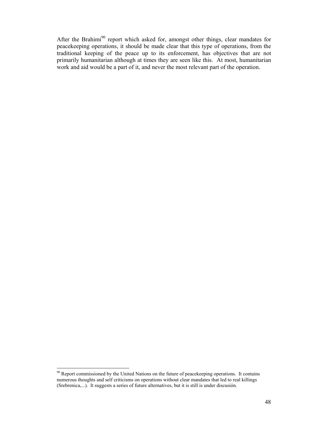After the Brahimi<sup>90</sup> report which asked for, amongst other things, clear mandates for peacekeeping operations, it should be made clear that this type of operations, from the traditional keeping of the peace up to its enforcement, has objectives that are not primarily humanitarian although at times they are seen like this. At most, humanitarian work and aid would be a part of it, and never the most relevant part of the operation.

 $\overline{a}$ <sup>90</sup> Report commissioned by the United Nations on the future of peacekeeping operations. It contains numerous thoughts and self criticisms on operations without clear mandates that led to real killings (Srebrenica,...). It suggests a series of future alternatives, but it is still is under discusión.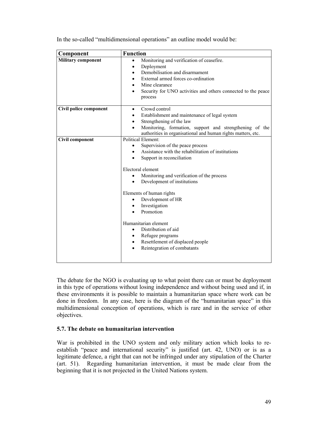| Component                 | <b>Function</b>                                                                                                                                                                                                                                                                                                                                                                                                                                                                                                          |
|---------------------------|--------------------------------------------------------------------------------------------------------------------------------------------------------------------------------------------------------------------------------------------------------------------------------------------------------------------------------------------------------------------------------------------------------------------------------------------------------------------------------------------------------------------------|
| <b>Military component</b> | Monitoring and verification of ceasefire.<br>$\bullet$<br>Deployment<br>$\bullet$<br>Demobilisation and disarmament<br>$\bullet$<br>External armed forces co-ordination<br>٠<br>Mine clearance<br>$\bullet$<br>Security for UNO activities and others connected to the peace<br>process                                                                                                                                                                                                                                  |
| Civil police component    | Crowd control<br>$\bullet$<br>Establishment and maintenance of legal system<br>Strengthening of the law<br>$\bullet$<br>Monitoring, formation, support and strengthening of the<br>authorities in organisational and human rights matters, etc.                                                                                                                                                                                                                                                                          |
| <b>Civil component</b>    | <b>Political Element:</b><br>Supervision of the peace process<br>٠<br>Assistance with the rehabilitation of institutions<br>Support in reconciliation<br>Electoral element<br>Monitoring and verification of the process<br>Development of institutions<br>$\bullet$<br>Elements of human rights<br>Development of HR<br>Investigation<br>Promotion<br>Humanitarian element<br>Distribution of aid<br>$\bullet$<br>Refugee programs<br>٠<br>Resettlement of displaced people<br>$\bullet$<br>Reintegration of combatants |

In the so-called "multidimensional operations" an outline model would be:

The debate for the NGO is evaluating up to what point there can or must be deployment in this type of operations without losing independence and without being used and if, in these environments it is possible to maintain a humanitarian space where work can be done in freedom. In any case, here is the diagram of the "humanitarian space" in this multidimensional conception of operations, which is rare and in the service of other objectives.

### **5.7. The debate on humanitarian intervention**

War is prohibited in the UNO system and only military action which looks to reestablish "peace and international security" is justified (art. 42, UNO) or is as a legitimate defence, a right that can not be infringed under any stipulation of the Charter (art. 51). Regarding humanitarian intervention, it must be made clear from the beginning that it is not projected in the United Nations system.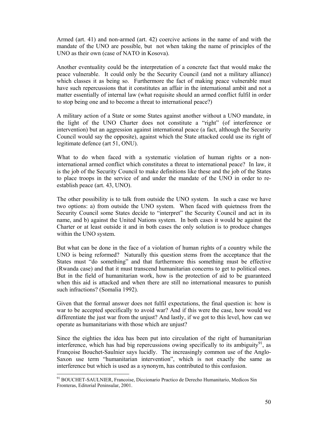Armed (art. 41) and non-armed (art. 42) coercive actions in the name of and with the mandate of the UNO are possible, but not when taking the name of principles of the UNO as their own (case of NATO in Kosova).

Another eventuality could be the interpretation of a concrete fact that would make the peace vulnerable. It could only be the Security Council (and not a military alliance) which classes it as being so. Furthermore the fact of making peace vulnerable must have such repercussions that it constitutes an affair in the international ambit and not a matter essentially of internal law (what requisite should an armed conflict fulfil in order to stop being one and to become a threat to international peace?)

A military action of a State or some States against another without a UNO mandate, in the light of the UNO Charter does not constitute a "right" (of interference or intervention) but an aggression against international peace (a fact, although the Security Council would say the opposite), against which the State attacked could use its right of legitimate defence (art 51, ONU).

What to do when faced with a systematic violation of human rights or a noninternational armed conflict which constitutes a threat to international peace? In law, it is the job of the Security Council to make definitions like these and the job of the States to place troops in the service of and under the mandate of the UNO in order to reestablish peace (art. 43, UNO).

The other possibility is to talk from outside the UNO system. In such a case we have two options: a) from outside the UNO system. When faced with quietness from the Security Council some States decide to "interpret" the Security Council and act in its name, and b) against the United Nations system. In both cases it would be against the Charter or at least outside it and in both cases the only solution is to produce changes within the UNO system.

But what can be done in the face of a violation of human rights of a country while the UNO is being reformed? Naturally this question stems from the acceptance that the States must "do something" and that furthermore this something must be effective (Rwanda case) and that it must transcend humanitarian concerns to get to political ones. But in the field of humanitarian work, how is the protection of aid to be guaranteed when this aid is attacked and when there are still no international measures to punish such infractions? (Somalia 1992).

Given that the formal answer does not fulfil expectations, the final question is: how is war to be accepted specifically to avoid war? And if this were the case, how would we differentiate the just war from the unjust? And lastly, if we got to this level, how can we operate as humanitarians with those which are unjust?

Since the eighties the idea has been put into circulation of the right of humanitarian interference, which has had big repercussions owing specifically to its ambiguity<sup>91</sup>, as Françoise Bouchet-Saulnier says lucidly. The increasingly common use of the Anglo-Saxon use term "humanitarian intervention", which is not exactly the same as interference but which is used as a synonym, has contributed to this confusion.

<sup>&</sup>lt;sup>91</sup> BOUCHET-SAULNIER, Francoise, Diccionario Practico de Derecho Humanitario, Medicos Sin Fronteras, Editorial Peninsular, 2001.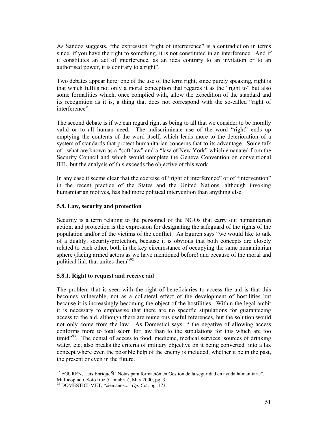As Sandoz suggests, "the expression "right of interference" is a contradiction in terms since, if you have the right to something, it is not constituted in an interference. And if it constitutes an act of interference, as an idea contrary to an invitation or to an authorised power, it is contrary to a right".

Two debates appear here: one of the use of the term right, since purely speaking, right is that which fulfils not only a moral conception that regards it as the "right to" but also some formalities which, once complied with, allow the expedition of the standard and its recognition as it is, a thing that does not correspond with the so-called "right of interference".

The second debate is if we can regard right as being to all that we consider to be morally valid or to all human need. The indiscriminate use of the word "right" ends up emptying the contents of the word itself, which leads more to the deterioration of a system of standards that protect humanitarian concerns that to its advantage. Some talk of what are known as a "soft law" and a "law of New York" which emanated from the Security Council and which would complete the Geneva Convention on conventional IHL, but the analysis of this exceeds the objective of this work.

In any case it seems clear that the exercise of "right of interference" or of "intervention" in the recent practice of the States and the United Nations, although invoking humanitarian motives, has had more political intervention than anything else.

# **5.8. Law, security and protection**

Security is a term relating to the personnel of the NGOs that carry out humanitarian action, and protection is the expression for designating the safeguard of the rights of the population and/or of the victims of the conflict. As Eguren says "we would like to talk of a duality, security-protection, because it is obvious that both concepts are closely related to each other, both in the key circumstance of occupying the same humanitarian sphere (facing armed actors as we have mentioned before) and because of the moral and political link that unites them<sup>"92</sup>

# **5.8.1. Right to request and receive aid**

The problem that is seen with the right of beneficiaries to access the aid is that this becomes vulnerable, not as a collateral effect of the development of hostilities but because it is increasingly becoming the object of the hostilities. Within the legal ambit it is necessary to emphasise that there are no specific stipulations for guaranteeing access to the aid, although there are numerous useful references, but the solution would not only come from the law. As Domestici says: " the negative of allowing access conforms more to total scorn for law than to the stipulations for this which are too  $timid<sup>93</sup>$ . The denial of access to food, medicine, medical services, sources of drinking water, etc, also breaks the criteria of military objective on it being converted into a lax concept where even the possible help of the enemy is included, whether it be in the past, the present or even in the future.

 $\overline{a}$  $92$  EGUREN, Luis EnriqueÑ "Notas para formación en Gestion de la seguridad en ayuda humanitaria". Multicopiado. Soto Iruz (Cantabria), May 2000, pg. 3.

<sup>93</sup> DOMESTICI-MET, "cien anos..." *Op. Cit.,* pg. 173.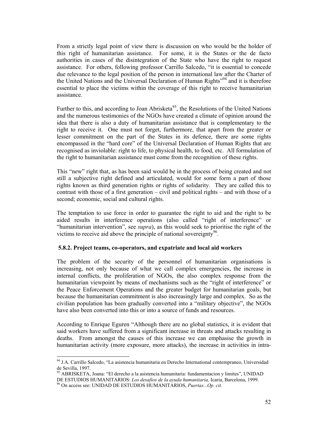From a strictly legal point of view there is discussion on who would be the holder of this right of humanitarian assistance. For some, it is the States or the de facto authorities in cases of the disintegration of the State who have the right to request assistance. For others, following professor Carrillo Salcedo, "it is essential to concede due relevance to the legal position of the person in international law after the Charter of the United Nations and the Universal Declaration of Human Rights<sup>"94</sup> and it is therefore essential to place the victims within the coverage of this right to receive humanitarian assistance.

Further to this, and according to Joan Abrisketa<sup>95</sup>, the Resolutions of the United Nations and the numerous testimonies of the NGOs have created a climate of opinion around the idea that there is also a duty of humanitarian assistance that is complementary to the right to receive it. One must not forget, furthermore, that apart from the greater or lesser commitment on the part of the States in its defence, there are some rights encompassed in the "hard core" of the Universal Declaration of Human Rights that are recognised as inviolable: right to life, to physical health, to food, etc. All formulation of the right to humanitarian assistance must come from the recognition of these rights.

This "new" right that, as has been said would be in the process of being created and not still a subjective right defined and articulated, would for some form a part of those rights known as third generation rights or rights of solidarity. They are called this to contrast with those of a first generation – civil and political rights – and with those of a second; economic, social and cultural rights.

The temptation to use force in order to guarantee the right to aid and the right to be aided results in interference operations (also called "right of interference" or "humanitarian intervention", see *supra*), as this would seek to prioritise the right of the victims to receive aid above the principle of national sovereignty<sup>96</sup>.

### **5.8.2. Project teams, co-operators, and expatriate and local aid workers**

The problem of the security of the personnel of humanitarian organisations is increasing, not only because of what we call complex emergencies, the increase in internal conflicts, the proliferation of NGOs, the also complex response from the humanitarian viewpoint by means of mechanisms such as the "right of interference" or the Peace Enforcement Operations and the greater budget for humanitarian goals, but because the humanitarian commitment is also increasingly large and complex. So as the civilian population has been gradually converted into a "military objective", the NGOs have also been converted into this or into a source of funds and resources.

According to Enrique Eguren "Although there are no global statistics, it is evident that said workers have suffered from a significant increase in threats and attacks resulting in deaths. From amongst the causes of this increase we can emphasise the growth in humanitarian activity (more exposure, more attacks), the increase in activities in intra-

<sup>&</sup>lt;sup>94</sup> J.A. Carrillo Salcedo, "La asistencia humanitaria en Derecho International contempraneo, Universidad de Sevilla, 1997.

<sup>95</sup> ABRISKETA, Joana: "El derecho a la asistencia humanitaria: fundamentacion y limites", UNIDAD

DE ESTUDIOS HUMANITARIOS: *Los desafios de la ayuda humanitaria*, Icaria, Barcelona, 1999.<br><sup>96</sup> On access see: UNIDAD DE ESTUDIOS HUMANITARIOS, *Puertas...Op. cit.*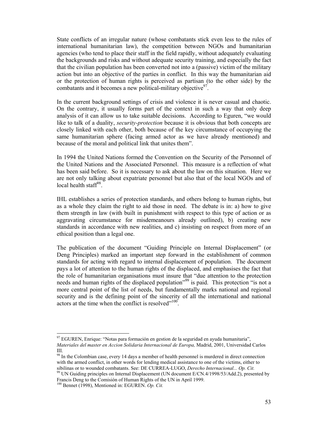State conflicts of an irregular nature (whose combatants stick even less to the rules of international humanitarian law), the competition between NGOs and humanitarian agencies (who tend to place their staff in the field rapidly, without adequately evaluating the backgrounds and risks and without adequate security training, and especially the fact that the civilian population has been converted not into a (passive) victim of the military action but into an objective of the parties in conflict. In this way the humanitarian aid or the protection of human rights is perceived as partisan (to the other side) by the combatants and it becomes a new political-military objective  $97$ .

In the current background settings of crisis and violence it is never casual and chaotic. On the contrary, it usually forms part of the context in such a way that only deep analysis of it can allow us to take suitable decisions. According to Eguren, "we would like to talk of a duality, *security-protection* because it is obvious that both concepts are closely linked with each other, both because of the key circumstance of occupying the same humanitarian sphere (facing armed actor as we have already mentioned) and because of the moral and political link that unites them".

In 1994 the United Nations formed the Convention on the Security of the Personnel of the United Nations and the Associated Personnel. This measure is a reflection of what has been said before. So it is necessary to ask about the law on this situation. Here we are not only talking about expatriate personnel but also that of the local NGOs and of local health staff $^{98}$ .

IHL establishes a series of protection standards, and others belong to human rights, but as a whole they claim the right to aid those in need. The debate is in: a) how to give them strength in law (with built in punishment with respect to this type of action or as aggravating circumstance for misdemeanours already outlined), b) creating new standards in accordance with new realities, and c) insisting on respect from more of an ethical position than a legal one.

The publication of the document "Guiding Principle on Internal Displacement" (or Deng Principles) marked an important step forward in the establishment of common standards for acting with regard to internal displacement of population. The document pays a lot of attention to the human rights of the displaced, and emphasises the fact that the role of humanitarian organisations must insure that "due attention to the protection needs and human rights of the displaced population<sup>"99</sup> is paid. This protection "is not a more central point of the list of needs, but fundamentally marks national and regional security and is the defining point of the sincerity of all the international and national actors at the time when the conflict is resolved $10^{100}$ .

 $\overline{a}$  $^{97}$  EGUREN, Enrique: "Notas para formación en gestion de la seguridad en ayuda humanitaria", *Materiales del master en Accion Solidaria Internacional de Europa,* Madrid, 2001, Universidad Carlos III.

<sup>&</sup>lt;sup>98</sup> In the Colombian case, every 14 days a member of health personnel is murdered in direct connection with the armed conflict, in other words for lending medical assistance to one of the victims, either to sibilinas or to wounded combatants. See: DE CURREA-LUGO, *Derecho Internacional... Op. Cit.* 

<sup>&</sup>lt;sup>99</sup> UN Guiding principles on Internal Displacement (UN document E/CN.4/1998/53/Add.2), presented by Francis Deng to the Comisión of Human Rights of the UN in April 1999.

<sup>100</sup> Bennet (1998), Mentioned in: EGUREN. *Op. Cit.*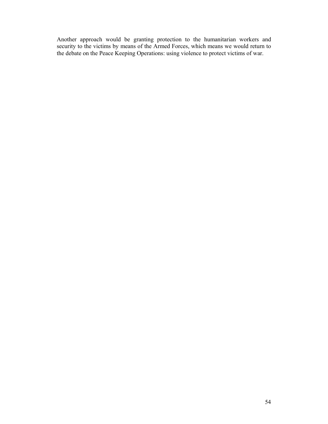Another approach would be granting protection to the humanitarian workers and security to the victims by means of the Armed Forces, which means we would return to the debate on the Peace Keeping Operations: using violence to protect victims of war.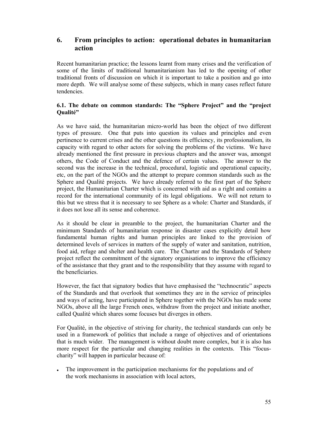# **6. From principles to action: operational debates in humanitarian action**

Recent humanitarian practice; the lessons learnt from many crises and the verification of some of the limits of traditional humanitarianism has led to the opening of other traditional fronts of discussion on which it is important to take a position and go into more depth. We will analyse some of these subjects, which in many cases reflect future tendencies.

# **6.1. The debate on common standards: The "Sphere Project" and the "project Qualité"**

As we have said, the humanitarian micro-world has been the object of two different types of pressure. One that puts into question its values and principles and even pertinence to current crises and the other questions its efficiency, its professionalism, its capacity with regard to other actors for solving the problems of the victims. We have already mentioned the first pressure in previous chapters and the answer was, amongst others, the Code of Conduct and the defence of certain values. The answer to the second was the increase in the technical, procedural, logistic and operational capacity, etc, on the part of the NGOs and the attempt to prepare common standards such as the Sphere and Qualité projects. We have already referred to the first part of the Sphere project, the Humanitarian Charter which is concerned with aid as a right and contains a record for the international community of its legal obligations. We will not return to this but we stress that it is necessary to see Sphere as a whole: Charter and Standards, if it does not lose all its sense and coherence.

As it should be clear in preamble to the project, the humanitarian Charter and the minimum Standards of humanitarian response in disaster cases explicitly detail how fundamental human rights and human principles are linked to the provision of determined levels of services in matters of the supply of water and sanitation, nutrition, food aid, refuge and shelter and health care. The Charter and the Standards of Sphere project reflect the commitment of the signatory organisations to improve the efficiency of the assistance that they grant and to the responsibility that they assume with regard to the beneficiaries.

However, the fact that signatory bodies that have emphasised the "technocratic" aspects of the Standards and that overlook that sometimes they are in the service of principles and ways of acting, have participated in Sphere together with the NGOs has made some NGOs, above all the large French ones, withdraw from the project and initiate another, called Qualité which shares some focuses but diverges in others.

For Qualité, in the objective of striving for charity, the technical standards can only be used in a framework of politics that include a range of objectives and of orientations that is much wider. The management is without doubt more complex, but it is also has more respect for the particular and changing realities in the contexts. This "focuscharity" will happen in particular because of:

• The improvement in the participation mechanisms for the populations and of the work mechanisms in association with local actors,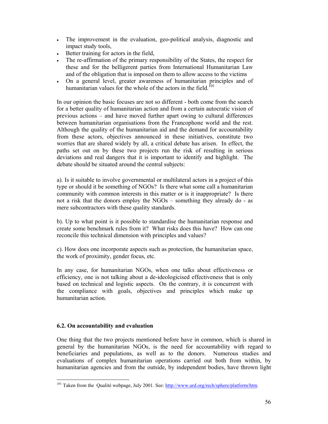- The improvement in the evaluation, geo-political analysis, diagnostic and impact study tools,
- Better training for actors in the field,
- The re-affirmation of the primary responsibility of the States, the respect for these and for the belligerent parties from International Humanitarian Law and of the obligation that is imposed on them to allow access to the victims
- On a general level, greater awareness of humanitarian principles and of humanitarian values for the whole of the actors in the field.<sup>101</sup>

In our opinion the basic focuses are not so different - both come from the search for a better quality of humanitarian action and from a certain autocratic vision of previous actions – and have moved further apart owing to cultural differences between humanitarian organisations from the Francophone world and the rest. Although the quality of the humanitarian aid and the demand for accountability from these actors, objectives announced in these initiatives, constitute two worries that are shared widely by all, a critical debate has arisen. In effect, the paths set out on by these two projects run the risk of resulting in serious deviations and real dangers that it is important to identify and highlight. The debate should be situated around the central subjects:

a). Is it suitable to involve governmental or multilateral actors in a project of this type or should it be something of NGOs? Is there what some call a humanitarian community with common interests in this matter or is it inappropriate? Is there not a risk that the donors employ the NGOs – something they already do - as mere subcontractors with these quality standards.

b). Up to what point is it possible to standardise the humanitarian response and create some benchmark rules from it? What risks does this have? How can one reconcile this technical dimension with principles and values?

c). How does one incorporate aspects such as protection, the humanitarian space, the work of proximity, gender focus, etc.

In any case, for humanitarian NGOs, when one talks about effectiveness or efficiency, one is not talking about a de-ideologicised effectiveness that is only based on technical and logistic aspects. On the contrary, it is concurrent with the compliance with goals, objectives and principles which make up humanitarian action.

# **6.2. On accountability and evaluation**

One thing that the two projects mentioned before have in common, which is shared in general by the humanitarian NGOs, is the need for accountability with regard to beneficiaries and populations, as well as to the donors. Numerous studies and evaluations of complex humanitarian operations carried out both from within, by humanitarian agencies and from the outside, by independent bodies, have thrown light

 $\overline{a}$ <sup>101</sup> Taken from the Qualité webpage, July 2001. See: http://www.urd.org/rech/sphere/platform/htm.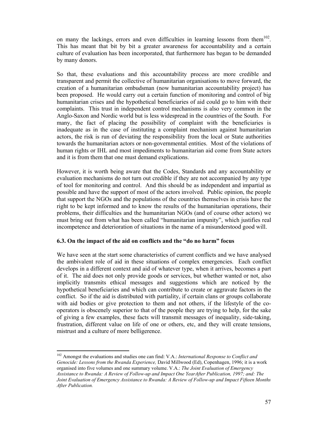on many the lackings, errors and even difficulties in learning lessons from them<sup>102</sup>. This has meant that bit by bit a greater awareness for accountability and a certain culture of evaluation has been incorporated, that furthermore has began to be demanded by many donors.

So that, these evaluations and this accountability process are more credible and transparent and permit the collective of humanitarian organisations to move forward, the creation of a humanitarian ombudsman (now humanitarian accountability project) has been proposed. He would carry out a certain function of monitoring and control of big humanitarian crises and the hypothetical beneficiaries of aid could go to him with their complaints. This trust in independent control mechanisms is also very common in the Anglo-Saxon and Nordic world but is less widespread in the countries of the South. For many, the fact of placing the possibility of complaint with the beneficiaries is inadequate as in the case of instituting a complaint mechanism against humanitarian actors, the risk is run of deviating the responsibility from the local or State authorities towards the humanitarian actors or non-governmental entities. Most of the violations of human rights or IHL and most impediments to humanitarian aid come from State actors and it is from them that one must demand explications.

However, it is worth being aware that the Codes, Standards and any accountability or evaluation mechanisms do not turn out credible if they are not accompanied by any type of tool for monitoring and control. And this should be as independent and impartial as possible and have the support of most of the actors involved. Public opinion, the people that support the NGOs and the populations of the countries themselves in crisis have the right to be kept informed and to know the results of the humanitarian operations, their problems, their difficulties and the humanitarian NGOs (and of course other actors) we must bring out from what has been called "humanitarian impunity", which justifies real incompetence and deterioration of situations in the name of a misunderstood good will.

# **6.3. On the impact of the aid on conflicts and the "do no harm" focus**

We have seen at the start some characteristics of current conflicts and we have analysed the ambivalent role of aid in these situations of complex emergencies. Each conflict develops in a different context and aid of whatever type, when it arrives, becomes a part of it. The aid does not only provide goods or services, but whether wanted or not, also implicitly transmits ethical messages and suggestions which are noticed by the hypothetical beneficiaries and which can contribute to create or aggravate factors in the conflict. So if the aid is distributed with partiality, if certain clans or groups collaborate with aid bodies or give protection to them and not others, if the lifestyle of the cooperators is obscenely superior to that of the people they are trying to help, for the sake of giving a few examples, these facts will transmit messages of inequality, side-taking, frustration, different value on life of one or others, etc, and they will create tensions, mistrust and a culture of more belligerence.

<sup>102</sup> Amongst the evaluations and studies one can find: V.A.: *International Response to Conflict and Genocide: Lessons from the Rwanda Experience,* David Millwood (Ed), Copenhagen, 1996; it is a work organised into five volumes and one summary volume. V.A.: *The Joint Evaluation of Emergency Assistance to Rwanda: A Review of Follow-up and Impact One YearAfter Publication, 1997; and: The Joint Evaluation of Emergency Assistance to Rwanda: A Review of Follow-up and Impact Fifteen Months After Publication.*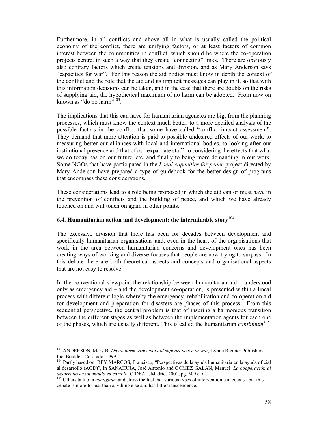Furthermore, in all conflicts and above all in what is usually called the political economy of the conflict, there are unifying factors, or at least factors of common interest between the communities in conflict, which should be where the co-operation projects centre, in such a way that they create "connecting" links. There are obviously also contrary factors which create tensions and division, and as Mary Anderson says "capacities for war". For this reason the aid bodies must know in depth the context of the conflict and the role that the aid and its implicit messages can play in it, so that with this information decisions can be taken, and in the case that there are doubts on the risks of supplying aid, the hypothetical maximum of no harm can be adopted. From now on known as "do no harm"<sup>103</sup>.

The implications that this can have for humanitarian agencies are big, from the planning processes, which must know the context much better, to a more detailed analysis of the possible factors in the conflict that some have called "conflict impact assessment". They demand that more attention is paid to possible undesired effects of our work, to measuring better our alliances with local and international bodies, to looking after our institutional presence and that of our expatriate staff, to considering the effects that what we do today has on our future, etc, and finally to being more demanding in our work. Some NGOs that have participated in the *Local capacities for peace* project directed by Mary Anderson have prepared a type of guidebook for the better design of programs that encompass these considerations.

These considerations lead to a role being proposed in which the aid can or must have in the prevention of conflicts and the building of peace, and which we have already touched on and will touch on again in other points.

# **6.4. Humanitarian action and development: the interminable story**<sup>104</sup>

The excessive division that there has been for decades between development and specifically humanitarian organisations and, even in the heart of the organisations that work in the area between humanitarian concerns and development ones has been creating ways of working and diverse focuses that people are now trying to surpass. In this debate there are both theoretical aspects and concepts and organisational aspects that are not easy to resolve.

In the conventional viewpoint the relationship between humanitarian aid – understood only as emergency aid – and the development co-operation, is presented within a lineal process with different logic whereby the emergency, rehabilitation and co-operation aid for development and preparation for disasters are phases of this process. From this sequential perspective, the central problem is that of insuring a harmonious transition between the different stages as well as between the implementation agents for each one of the phases, which are usually different. This is called the humanitarian *continuum105.* 

<sup>&</sup>lt;sup>103</sup> ANDERSON, Mary B: *Do no harm. How can aid support peace or war*, Lynne Rienner Publishers, Inc, Boulder, Colorado, 1999.

<sup>&</sup>lt;sup>104</sup> Partly based on: REY MARCOS, Francisco, "Perspectivas de la ayuda humanitaria en la ayuda oficial al desarrollo (AOD)", in SANAHUJA, José Antonio and GOMEZ GALAN, Manuel: *La cooperación al* 

<sup>&</sup>lt;sup>105</sup> Others talk of a *contiguum* and stress the fact that various types of intervention can coexist, but this debate is more formal than anything else and has little transcendence.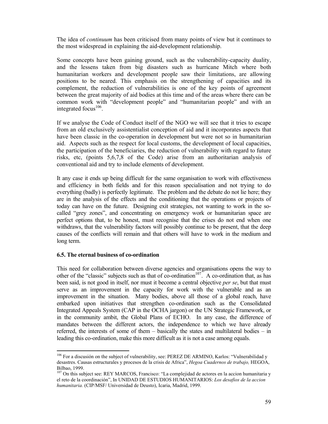The idea of *continuum* has been criticised from many points of view but it continues to the most widespread in explaining the aid-development relationship.

Some concepts have been gaining ground, such as the vulnerability-capacity duality, and the lessens taken from big disasters such as hurricane Mitch where both humanitarian workers and development people saw their limitations, are allowing positions to be neared. This emphasis on the strengthening of capacities and its complement, the reduction of vulnerabilities is one of the key points of agreement between the great majority of aid bodies at this time and of the areas where there can be common work with "development people" and "humanitarian people" and with an integrated focus $106$ .

If we analyse the Code of Conduct itself of the NGO we will see that it tries to escape from an old exclusively assistentialist conception of aid and it incorporates aspects that have been classic in the co-operation in development but were not so in humanitarian aid. Aspects such as the respect for local customs, the development of local capacities, the participation of the beneficiaries, the reduction of vulnerability with regard to future risks, etc, (points 5,6,7,8 of the Code) arise from an authoritarian analysis of conventional aid and try to include elements of development.

It any case it ends up being difficult for the same organisation to work with effectiveness and efficiency in both fields and for this reason specialisation and not trying to do everything (badly) is perfectly legitimate. The problem and the debate do not lie here; they are in the analysis of the effects and the conditioning that the operations or projects of today can have on the future. Designing exit strategies, not wanting to work in the socalled "grey zones", and concentrating on emergency work or humanitarian space are perfect options that, to be honest, must recognise that the crises do not end when one withdraws, that the vulnerability factors will possibly continue to be present, that the deep causes of the conflicts will remain and that others will have to work in the medium and long term.

### **6.5. The eternal business of co-ordination**

 $\overline{a}$ 

This need for collaboration between diverse agencies and organisations opens the way to other of the "classic" subjects such as that of co-ordination<sup>107</sup>. A co-ordination that, as has been said, is not good in itself, nor must it become a central objective *per se*, but that must serve as an improvement in the capacity for work with the vulnerable and as an improvement in the situation. Many bodies, above all those of a global reach, have embarked upon initiatives that strengthen co-ordination such as the Consolidated Integrated Appeals System (CAP in the OCHA jargon) or the UN Strategic Framework, or in the community ambit, the Global Plans of ECHO. In any case, the difference of mandates between the different actors, the independence to which we have already referred, the interests of some of them – basically the states and multilateral bodies – in leading this co-ordination, make this more difficult as it is not a case among equals.

<sup>&</sup>lt;sup>106</sup> For a discusión on the subject of vulnerability, see: PEREZ DE ARMINO, Karlos: "Vulnerabilidad y desastres. Causas estructurales y procesos de la crisis de Africa", *Hegoa Cuadernos de trabajo,* HEGOA, Bilbao, 1999.

<sup>&</sup>lt;sup>107</sup> On this subject see: REY MARCOS, Francisco: "La complejidad de actores en la accion humanitaria y el reto de la coordinación", In UNIDAD DE ESTUDIOS HUMANITARIOS: *Los desafios de la accion humanitaria.* (CIP/MSF/ Universidad de Deusto), Icaria, Madrid, 1999.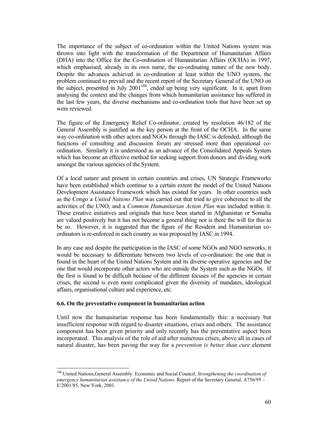The importance of the subject of co-ordination within the United Nations system was thrown into light with the transformation of the Department of Humanitarian Affairs (DHA) into the Office for the Co-ordination of Humanitarian Affairs (OCHA) in 1997, which emphasised, already in its own name, the co-ordinating nature of the new body. Despite the advances achieved in co-ordination at least within the UNO system, the problem continued to prevail and the recent report of the Secretary General of the UNO on the subject, presented in July  $2001^{108}$ , ended up being very significant. In it, apart from analysing the context and the changes from which humanitarian assistance has suffered in the last few years, the diverse mechanisms and co-ordination tools that have been set up were reviewed.

The figure of the Emergency Relief Co-ordinator, created by resolution 46/182 of the General Assembly is justified as the key person at the front of the OCHA. In the same way co-ordination with other actors and NGOs through the IASC is defended, although the functions of consulting and discussion forum are stressed more than operational coordination. Similarly it is understood as an advance of the Consolidated Appeals System which has become an effective method for seeking support from donors and dividing work amongst the various agencies of the System.

Of a local nature and present in certain countries and crises, UN Strategic Frameworks have been established which continue to a certain extent the model of the United Nations Development Assistance Framework which has existed for years. In other countries such as the Congo a *United Nations Plan* was carried out that tried to give coherence to all the activities of the UNO, and a *Common Humanitarian Action Plan* was included within it. These creative initiatives and originals that have been started in Afghanistan or Somalia are valued positively but it has not become a general thing nor is there the will for this to be so. However, it is suggested that the figure of the Resident and Humanitarian coordinators is re-enforced in each country as was proposed by IASC in 1994.

In any case and despite the participation in the IASC of some NGOs and NGO networks, it would be necessary to differentiate between two levels of co-ordination: the one that is found in the heart of the United Nations System and its diverse operative agencies and the one that would incorporate other actors who are outside the System such as the NGOs. If the first is found to be difficult because of the different focuses of the agencies in certain crises, the second is even more complicated given the diversity of mandates, ideological affairs, organisational culture and experience, etc.

### **6.6. On the preventative component in humanitarian action**

 $\overline{a}$ 

Until now the humanitarian response has been fundamentally this: a necessary but insufficient response with regard to disaster situations, crises and others. The assistance component has been given priority and only recently has the preventative aspect been incorporated. This analysis of the role of aid after numerous crises, above all in cases of natural disaster, has been paving the way for a *prevention is better than cure* element

<sup>108</sup> United Nations,General Assembly. Economic and Social Council, *Strengthening the coordination of emergency humanitarian assistance of the United Nations.* Report of the Secretary General. A756/95 – E/2001/85, New York, 2001.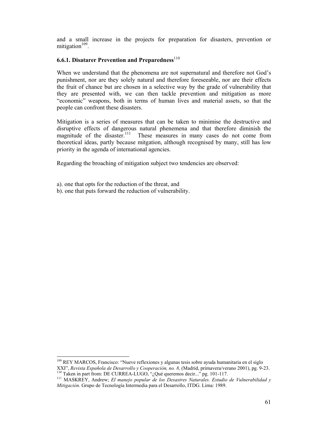and a small increase in the projects for preparation for disasters, prevention or mitigation $109$ .

# **6.6.1. Disatarer Prevention and Preparedness**<sup>110</sup>

When we understand that the phenomena are not supernatural and therefore not God's punishment, nor are they solely natural and therefore foreseeable, nor are their effects the fruit of chance but are chosen in a selective way by the grade of vulnerability that they are presented with, we can then tackle prevention and mitigation as more "economic" weapons, both in terms of human lives and material assets, so that the people can confront these disasters.

Mitigation is a series of measures that can be taken to minimise the destructive and disruptive effects of dangerous natural phenemena and that therefore diminish the magnitude of the disaster.<sup>111</sup> These measures in many cases do not come from theoretical ideas, partly because mitgation, although recognised by many, still has low priority in the agenda of international agencies.

Regarding the broaching of mitigation subject two tendencies are observed:

a). one that opts for the reduction of the threat, and

 $\overline{a}$ 

b). one that puts forward the reduction of vulnerability.

<sup>&</sup>lt;sup>109</sup> REY MARCOS, Francisco: "Nueve reflexiones y algunas tesis sobre ayuda humanitaria en el siglo XXI", Revista Española de Desarrollo y Cooperación, no. 8, (Madrid, primavera/verano 2001), pg. 9-23.<br><sup>110</sup> Taken in part from: DE CURREA-LUGO, "¿Qué queremos decir..." pg. 101-117.<br><sup>111</sup> MASKREY, Andrew; *El manejo popula* 

*Mitigación*. Grupo de Tecnología Intermedia para el Desarrollo, ITDG. Lima: 1989.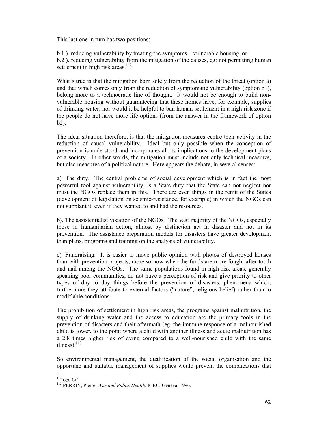This last one in turn has two positions:

b.1.). reducing vulnerability by treating the symptoms, . vulnerable housing, or b.2.). reducing vulnerability from the mitigation of the causes, eg: not permitting human settlement in high risk areas.<sup>112</sup>

What's true is that the mitigation born solely from the reduction of the threat (option a) and that which comes only from the reduction of symptomatic vulnerability (option b1), belong more to a technocratic line of thought. It would not be enough to build nonvulnerable housing without guaranteeing that these homes have, for example, supplies of drinking water; nor would it be helpful to ban human settlement in a high risk zone if the people do not have more life options (from the answer in the framework of option b2).

The ideal situation therefore, is that the mitigation measures centre their activity in the reduction of causal vulnerability. Ideal but only possible when the conception of prevention is understood and incorporates all its implications to the development plans of a society. In other words, the mitigation must include not only technical measures, but also measures of a political nature. Here appears the debate, in several senses:

a). The duty. The central problems of social development which is in fact the most powerful tool against vulnerability, is a State duty that the State can not neglect nor must the NGOs replace them in this. There are even things in the remit of the States (development of legislation on seismic-resistance, for example) in which the NGOs can not supplant it, even if they wanted to and had the resources.

b). The assistentialist vocation of the NGOs. The vast majority of the NGOs, especially those in humanitarian action, almost by distinction act in disaster and not in its prevention. The assistance preparation models for disasters have greater development than plans, programs and training on the analysis of vulnerability.

c). Fundraising. It is easier to move public opinion with photos of destroyed houses than with prevention projects, more so now when the funds are more fought after tooth and nail among the NGOs. The same populations found in high risk areas, generally speaking poor communities, do not have a perception of risk and give priority to other types of day to day things before the prevention of disasters, phenomena which, furthermore they attribute to external factors ("nature", religious belief) rather than to modifiable conditions.

The prohibition of settlement in high risk areas, the programs against malnutrition, the supply of drinking water and the access to education are the primary tools in the prevention of disasters and their aftermath (eg, the immune response of a malnourished child is lower, to the point where a child with another illness and acute malnutrition has a 2.8 times higher risk of dying compared to a well-nourished child with the same illness). $113$ 

So environmental management, the qualification of the social organisation and the opportune and suitable management of supplies would prevent the complications that

 $112$  Op. Cit.

<sup>&</sup>lt;sup>113</sup> PERRIN, Pierre: *War and Public Health*, ICRC, Geneva, 1996.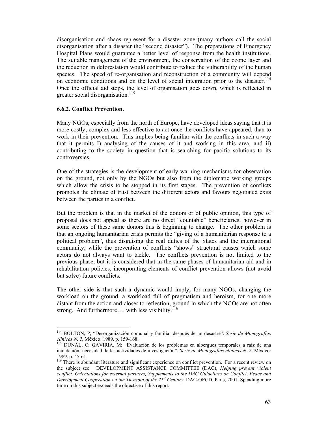disorganisation and chaos represent for a disaster zone (many authors call the social disorganisation after a disaster the "second disaster"). The preparations of Emergency Hospital Plans would guarantee a better level of response from the health institutions. The suitable management of the environment, the conservation of the ozone layer and the reduction in deforestation would contribute to reduce the vulnerability of the human species. The speed of re-organisation and reconstruction of a community will depend on economic conditions and on the level of social integration prior to the disaster.<sup>114</sup> Once the official aid stops, the level of organisation goes down, which is reflected in greater social disorganisation.<sup>115</sup>

## **6.6.2. Conflict Prevention.**

 $\overline{a}$ 

Many NGOs, especially from the north of Europe, have developed ideas saying that it is more costly, complex and less effective to act once the conflicts have appeared, than to work in their prevention. This implies being familiar with the conflicts in such a way that it permits I) analysing of the causes of it and working in this area, and ii) contributing to the society in question that is searching for pacific solutions to its controversies.

One of the strategies is the development of early warning mechanisms for observation on the ground, not only by the NGOs but also from the diplomatic working groups which allow the crisis to be stopped in its first stages. The prevention of conflicts promotes the climate of trust between the different actors and favours negotiated exits between the parties in a conflict.

But the problem is that in the market of the donors or of public opinion, this type of proposal does not appeal as there are no direct "countable" beneficiaries; however in some sectors of these same donors this is beginning to change. The other problem is that an ongoing humanitarian crisis permits the "giving of a humanitarian response to a political problem", thus disguising the real duties of the States and the international community, while the prevention of conflicts "shows" structural causes which some actors do not always want to tackle. The conflicts prevention is not limited to the previous phase, but it is considered that in the same phases of humanitarian aid and in rehabilitation policies, incorporating elements of conflict prevention allows (not avoid but solve) future conflicts.

The other side is that such a dynamic would imply, for many NGOs, changing the workload on the ground, a workload full of pragmatism and heroism, for one more distant from the action and closer to reflection, ground in which the NGOs are not often strong. And furthermore.... with less visibility.<sup>116</sup>

<sup>114</sup> BOLTON, P; "Desorganización comunal y familiar después de un desastre". *Serie de Monografías clínicas N. 2*, México: 1989. p. 159-168.<br><sup>115</sup> DUNAL, C; GAVIRIA, M; "Evaluación de los problemas en albergues temporales a raíz de una

inundación: necesidad de las actividades de investigación". *Serie de Monografías clínicas N. 2*. México: 1989. p. 45-61.

<sup>&</sup>lt;sup>116</sup> There is abundant literature and significant experience on conflict prevention. For a recent review on the subject see: DEVELOPMENT ASSISTANCE COMMITTEE (DAC), *Helping prevent violent conflict. Orientations for external partners, Supplements to the DAC Guidelines on Conflict, Peace and Development Cooperation on the Thresold of the 21st Century*, DAC-OECD, Paris, 2001. Spending more time on this subject exceeds the objective of this report.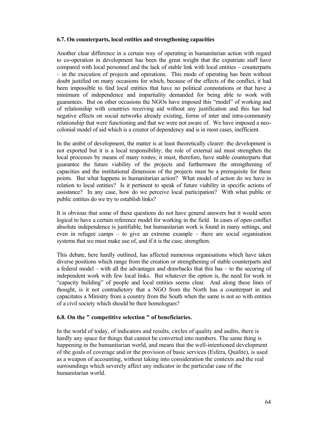### **6.7. On counterparts, local entities and strengthening capacities**

Another clear difference in a certain way of operating in humanitarian action with regard to co-operation in development has been the great weight that the expatriate staff have compared with local personnel and the lack of stable link with local entities – counterparts – in the execution of projects and operations. This mode of operating has been without doubt justified on many occasions for which, because of the effects of the conflict, it had been impossible to find local entities that have no political connotations or that have a minimum of independence and impartiality demanded for being able to work with guarantees. But on other occasions the NGOs have imposed this "model" of working and of relationship with countries receiving aid without any justification and this has had negative effects on social networks already existing, forms of inter and intra-community relationship that were functioning and that we were not aware of. We have imposed a neocolonial model of aid which is a creator of dependency and is in most cases, inefficient.

In the ambit of development, the matter is at least theoretically clearer: the development is not exported but it is a local responsibility; the role of external aid must strengthen the local processes by means of many routes; it must, therefore, have stable counterparts that guarantee the future viability of the projects and furthermore the strengthening of capacities and the institutional dimension of the projects must be a prerequisite for these points. But what happens in humanitarian action? What model of action do we have in relation to local entities? Is it pertinent to speak of future viability in specific actions of assistance? In any case, how do we perceive local participation? With what public or public entities do we try to establish links?

It is obvious that some of these questions do not have general answers but it would seem logical to have a certain reference model for working in the field. In cases of open conflict absolute independence is justifiable, but humanitarian work is found in many settings, and even in refugee camps – to give an extreme example – there are social organisation systems that we must make use of, and if it is the case, strengthen.

This debate, here hardly outlined, has affected numerous organisations which have taken diverse positions which range from the creation or strengthening of stable counterparts and a federal model – with all the advantages and drawbacks that this has – to the securing of independent work with few local links. But whatever the option is, the need for work in "capacity building" of people and local entities seems clear. And along these lines of thought, is it not contradictory that a NGO from the North has a counterpart in and capacitates a Ministry from a country from the South when the same is not so with entities of a civil society which should be their homologues?

### **6.8. On the " competitive selection " of beneficiaries.**

In the world of today, of indicators and results, circles of quality and audits, there is hardly any space for things that cannot be converted into numbers. The same thing is happening in the humanitarian world, and means that the well-intentioned development of the goals of coverage and/or the provision of basic services (Esfera, Qualite), is used as a weapon of accounting, without taking into consideration the contexts and the real surroundings which severely affect any indicator in the particular case of the humanitarian world.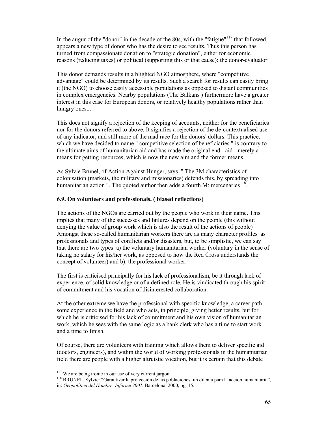In the augur of the "donor" in the decade of the 80s, with the "fatigue"<sup>117</sup> that followed, appears a new type of donor who has the desire to see results. Thus this person has turned from compassionate donation to "strategic donation", either for economic reasons (reducing taxes) or political (supporting this or that cause): the donor-evaluator.

This donor demands results in a blighted NGO atmosphere, where "competitive advantage" could be determined by its results. Such a search for results can easily bring it (the NGO) to choose easily accessible populations as opposed to distant communities in complex emergencies. Nearby populations (The Balkans ) furthermore have a greater interest in this case for European donors, or relatively healthy populations rather than hungry ones...

This does not signify a rejection of the keeping of accounts, neither for the beneficiaries nor for the donors referred to above. It signifies a rejection of the de-contextualised use of any indicator, and still more of the mad race for the donors' dollars. This practice, which we have decided to name " competitive selection of beneficiaries " is contrary to the ultimate aims of humanitarian aid and has made the original end - aid - merely a means for getting resources, which is now the new aim and the former means.

As Sylvie Brunel, of Action Against Hunger, says, " The 3M characteristics of colonisation (markets, the military and missionaries) defends this, by spreading into humanitarian action ". The quoted author then adds a fourth M: mercenaries<sup>118</sup>.

## **6.9. On volunteers and professionals. ( biased reflections)**

The actions of the NGOs are carried out by the people who work in their name. This implies that many of the successes and failures depend on the people (this without denying the value of group work which is also the result of the actions of people) Amongst these so-called humanitarian workers there are as many character profiles as professionals and types of conflicts and/or disasters, but, to be simplistic, we can say that there are two types: a) the voluntary humanitarian worker (voluntary in the sense of taking no salary for his/her work, as opposed to how the Red Cross understands the concept of volunteer) and b). the professional worker.

The first is criticised principally for his lack of professionalism, be it through lack of experience, of solid knowledge or of a defined role. He is vindicated through his spirit of commitment and his vocation of disinterested collaboration.

At the other extreme we have the professional with specific knowledge, a career path some experience in the field and who acts, in principle, giving better results, but for which he is criticised for his lack of commitment and his own vision of humanitarian work, which he sees with the same logic as a bank clerk who has a time to start work and a time to finish.

Of course, there are volunteers with training which allows them to deliver specific aid (doctors, engineers), and within the world of working professionals in the humanitarian field there are people with a higher altruistic vocation, but it is certain that this debate

<sup>&</sup>lt;sup>117</sup> We are being ironic in our use of very current jargon.<br><sup>118</sup> BRUNEL, Sylvie: "Garantizar la protección de las poblaciones: un dilema para la accion humanitaria", in: *Geopolítica del Hambre. Informe 2001.* Barcelona, 2000, pg. 15.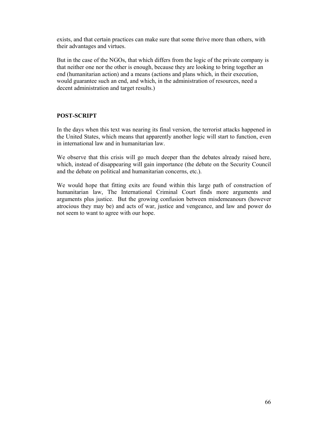exists, and that certain practices can make sure that some thrive more than others, with their advantages and virtues.

But in the case of the NGOs, that which differs from the logic of the private company is that neither one nor the other is enough, because they are looking to bring together an end (humanitarian action) and a means (actions and plans which, in their execution, would guarantee such an end, and which, in the administration of resources, need a decent administration and target results.)

### **POST-SCRIPT**

In the days when this text was nearing its final version, the terrorist attacks happened in the United States, which means that apparently another logic will start to function, even in international law and in humanitarian law.

We observe that this crisis will go much deeper than the debates already raised here, which, instead of disappearing will gain importance (the debate on the Security Council and the debate on political and humanitarian concerns, etc.).

We would hope that fitting exits are found within this large path of construction of humanitarian law, The International Criminal Court finds more arguments and arguments plus justice. But the growing confusion between misdemeanours (however atrocious they may be) and acts of war, justice and vengeance, and law and power do not seem to want to agree with our hope.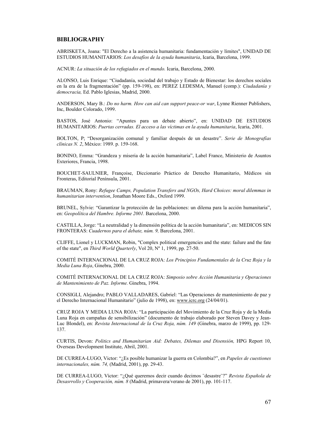#### **BIBLIOGRAPHY**

ABRISKETA, Joana: "El Derecho a la asistencia humanitaria: fundamentación y límites", UNIDAD DE ESTUDIOS HUMANITARIOS: *Los desafíos de la ayuda humanitaria*, Icaria, Barcelona, 1999.

ACNUR: *La situación de los refugiados en el mundo.* Icaria, Barcelona, 2000.

ALONSO, Luis Enrique: "Ciudadanía, sociedad del trabajo y Estado de Bienestar: los derechos sociales en la era de la fragmentación" (pp. 159-198), en: PEREZ LEDESMA, Manuel (comp.): *Ciudadanía y democracia,* Ed. Pablo Iglesias, Madrid, 2000.

ANDERSON, Mary B.: *Do no harm. How can aid can support peace-or war*, Lynne Rienner Publishers, Inc, Boulder Colorado, 1999.

BASTOS, José Antonio: "Apuntes para un debate abierto", en: UNIDAD DE ESTUDIOS HUMANITARIOS: *Puertas cerradas. El acceso a las víctimas en la ayuda humanitaria*, Icaria, 2001.

BOLTON, P; "Desorganización comunal y familiar después de un desastre". *Serie de Monografías clínicas N. 2*, México: 1989. p. 159-168.

BONINO, Emma: "Grandeza y miseria de la acción humanitaria", Label France, Ministerio de Asuntos Exteriores, Francia, 1998.

BOUCHET-SAULNIER, Françoise, Diccionario Práctico de Derecho Humanitario, Médicos sin Fronteras, Editorial Península, 2001.

BRAUMAN, Rony: *Refugee Camps, Population Transfers and NGOs, Hard Choices: moral dilemmas in humanitarian intervention*, Jonathan Moore Eds., Oxford 1999.

BRUNEL, Sylvie: "Garantizar la protección de las poblaciones: un dilema para la acción humanitaria", en: *Geopolítica del Hambre. Informe 2001.* Barcelona, 2000.

CASTILLA, Jorge: "La neutralidad y la dimensión política de la acción humanitaria", en: MEDICOS SIN FRONTERAS: *Cuadernos para el debate, núm. 9,* Barcelona, 2001.

CLIFFE, Lionel y LUCKMAN, Robin, "Complex political emergencies and the state: failure and the fate of the state", en *Third World Quarterly*, Vol 20, Nº 1, 1999, pp. 27-50.

COMITÉ INTERNACIONAL DE LA CRUZ ROJA: *Los Principios Fundamentales de la Cruz Roja y la Media Luna Roja*, Ginebra, 2000.

COMITÉ INTERNACIONAL DE LA CRUZ ROJA: *Simposio sobre Acción Humanitaria y Operaciones de Mantenimiento de Paz. Informe.* Ginebra, 1994.

CONSIGLI, Alejandro; PABLO VALLADARES, Gabriel: "Las Operaciones de mantenimiento de paz y el Derecho Internacional Humanitario" (julio de 1998), en: www.icrc.org (24/04/01).

CRUZ ROJA Y MEDIA LUNA ROJA: "La participación del Movimiento de la Cruz Roja y de la Media Luna Roja en campañas de sensibilización" (documento de trabajo elaborado por Steven Davey y Jean-Luc Blondel), en: *Revista Internacional de la Cruz Roja, núm. 149* (Ginebra, marzo de 1999), pp. 129- 137.

CURTIS, Devon: *Politics and Humanitarian Aid: Debates, Dilemas and Disensión,* HPG Report 10, Overseas Development Institute, Abril, 2001.

DE CURREA-LUGO, Victor: "¿Es posible humanizar la guerra en Colombia?", en *Papeles de cuestiones internacionales, núm. 74,* (Madrid, 2001), pp. 29-43.

DE CURREA-LUGO, Víctor: "¿Qué queremos decir cuando decimos ¨desastre¨?" *Revista Española de Desasrrollo y Cooperación, núm. 8* (Madrid, primavera/verano de 2001), pp. 101-117.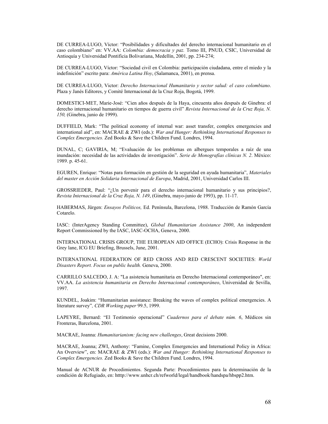DE CURREA-LUGO, Víctor: "Posibilidades y dificultades del derecho internacional humanitario en el caso colombiano" en: VV.AA: *Colombia: democracia y paz.* Tomo III, PNUD, CSIC, Universidad de Antioquía y Universidad Pontificia Bolivariana, Medellín, 2001, pp. 234-274;

DE CURREA-LUGO, Víctor: "Sociedad civil en Colombia: participación ciudadana, entre el miedo y la indefinición" escrito para: *América Latina Hoy*, (Salamanca, 2001), en prensa.

DE CURREA-LUGO, Victor: *Derecho Internacional Humanitario y sector salud: el caso colombiano*. Plaza y Janés Editores, y Comité Internacional de la Cruz Roja, Bogotá, 1999.

DOMESTICI-MET, Marie-José: "Cien años después de la Haya, cincuenta años después de Ginebra: el derecho internacional humanitario en tiempos de guerra civil" *Revista Internacional de la Cruz Roja, N. 150,* (Ginebra, junio de 1999).

DUFFIELD, Mark: "The political economy of internal war: asset transfer, complex emergencies and international aid", en: MACRAE & ZWI (eds.): *War and Hunger: Rethinking International Responses to Complex Emergencies.* Zed Books & Save the Children Fund. Londres, 1994.

DUNAL, C; GAVIRIA, M; "Evaluación de los problemas en albergues temporales a raíz de una inundación: necesidad de las actividades de investigación". *Serie de Monografías clínicas N. 2*. México: 1989. p. 45-61.

EGUREN, Enrique: "Notas para formación en gestión de la seguridad en ayuda humanitaria", *Materiales del master en Acción Solidaria Internacional de Europa*, Madrid, 2001, Universidad Carlos III.

GROSSRIEDER, Paul: "¿Un porvenir para el derecho internacional humanitario y sus principios?, *Revista Internacional de la Cruz Roja, N. 149*, (Ginebra, mayo-junio de 1993), pp. 11-17.

HABERMAS, Jürgen: *Ensayos Políticos,* Ed. Península, Barcelona, 1988. Traducción de Ramón García Cotarelo.

IASC: (InterAgency Standing Committee), *Global Humanitarian Assistance 2000*, An independent Report Commissioned by the IASC, IASC-OCHA, Geneva, 2000.

INTERNATIONAL CRISIS GROUP, THE EUROPEAN AID OFFICE (ECHO): Crisis Response in the Grey lane, ICG EU Briefing, Brussels, June, 2001.

INTERNATIONAL FEDERATION OF RED CROSS AND RED CRESCENT SOCIETIES: *World Disasters Report. Focus on public health.* Geneva, 2000.

CARRILLO SALCEDO, J. A: "La asistencia humanitaria en Derecho Internacional contemporáneo", en: VV.AA. *La asistencia humanitaria en Derecho Internacional contemporáneo*, Universidad de Sevilla, 1997.

KUNDEL, Joakim: "Humanitarian assistance: Breaking the waves of complex political emergencies. A literature survey"*, CDR Working paper* 99.5, 1999.

LAPEYRE, Bernard: "El Testimonio operacional" *Cuadernos para el debate núm. 6*, Médicos sin Fronteras, Barcelona, 2001.

MACRAE, Joanna: *Humanitarianism: facing new challenges*, Great decisions 2000.

MACRAE, Joanna; ZWI, Anthony: "Famine, Complex Emergencies and International Policy in Africa: An Overview", en: MACRAE & ZWI (eds.): *War and Hunger: Rethinking International Responses to Complex Emergencies.* Zed Books & Save the Children Fund. Londres, 1994.

Manual de ACNUR de Procedimientos. Segunda Parte: Procedimientos para la determinación de la condición de Refugiado, en: htttp://www.unhcr.ch/refworld/legal/handbook/handspa/hbspp2.htm.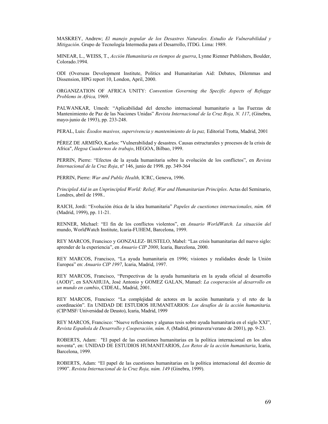MASKREY, Andrew; *El manejo popular de los Desastres Naturales. Estudio de Vulnerabilidad y Mitigación*. Grupo de Tecnología Intermedia para el Desarrollo, ITDG. Lima: 1989.

MINEAR, L., WEISS, T., *Acción Humanitaria en tiempos de guerra*, Lynne Rienner Publishers, Boulder, Colorado.1994.

ODI (Overseas Development Institute, Politics and Humanitarian Aid: Debates, Dilemmas and Dissension, HPG report 10, London, April, 2000.

ORGANIZATION OF AFRICA UNITY: *Convention Governing the Specific Aspects of Refugge Problems in Africa,* 1969.

PALWANKAR, Umesh: "Aplicabilidad del derecho internacional humanitario a las Fuerzas de Mantenimiento de Paz de las Naciones Unidas" *Revista Internacional de la Cruz Roja, N. 117*, (Ginebra, mayo-junio de 1993), pp. 233-248.

PERAL, Luis: *Éxodos masivos, supervivencia y mantenimiento de la paz,* Editorial Trotta, Madrid, 2001

PÉREZ DE ARMIÑO, Karlos: "Vulnerabilidad y desastres. Causas estructurales y procesos de la crisis de Africa", *Hegoa Cuadernos de trabajo*, HEGOA, Bilbao, 1999.

PERRIN, Pierre: "Efectos de la ayuda humanitaria sobre la evolución de los conflictos", en *Revista Internacional de la Cruz Roja*, nº 146, junio de 1998. pp. 349-364

PERRIN, Pierre: *War and Public Health,* ICRC, Geneva, 1996.

*Principled Aid in an Unprincipled World: Relief, War and Humanitarian Principles*. Actas del Seminario, Londres, abril de 1998..

RAICH, Jordi: "Evolución ética de la idea humanitaria" *Papeles de cuestiones internacionales, núm. 68*  (Madrid, 1999), pp. 11-21.

RENNER, Michael: "El fin de los conflictos violentos", en *Anuario WorldWatch. La situación del*  mundo, WorldWatch Institute, Icaria-FUHEM, Barcelona, 1999.

REY MARCOS, Francisco y GONZALEZ- BUSTELO, Mabel: "Las crisis humanitarias del nuevo siglo: aprender de la experiencia", en *Anuario CIP 2000*, Icaria, Barcelona, 2000.

REY MARCOS, Francisco, "La ayuda humanitaria en 1996; visiones y realidades desde la Unión Europea" en: *Anuario CIP 1997*, Icaria, Madrid, 1997.

REY MARCOS, Francisco, "Perspectivas de la ayuda humanitaria en la ayuda oficial al desarrollo (AOD)", en SANAHUJA, José Antonio y GOMEZ GALAN, Manuel: *La cooperación al desarrollo en un mundo en cambio*, CIDEAL, Madrid, 2001.

REY MARCOS, Francisco: "La complejidad de actores en la acción humanitaria y el reto de la coordinación". En UNIDAD DE ESTUDIOS HUMANITARIOS: *Los desafíos de la acción humanitaria.* (CIP/MSF/ Universidad de Deusto), Icaria, Madrid, 1999

REY MARCOS, Francisco: "Nueve reflexiones y algunas tesis sobre ayuda humanitaria en el siglo XXI", *Revista Española de Desarrollo y Cooperación, núm. 8*, (Madrid, primavera/verano de 2001), pp. 9-23.

ROBERTS, Adam: "El papel de las cuestiones humanitarias en la política internacional en los años noventa", en: UNIDAD DE ESTUDIOS HUMANITARIOS, *Los Retos de la acción humanitaria*, Icaria, Barcelona, 1999.

ROBERTS, Adam: "El papel de las cuestiones humanitarias en la política internacional del decenio de 1990". *Revista Internacional de la Cruz Roja, núm. 149* (Ginebra, 1999).